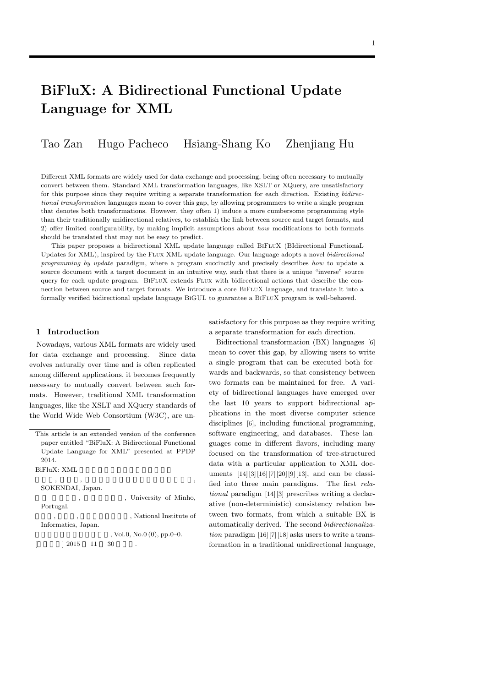# **BiFluX: A Bidirectional Functional Update Language for XML**

Tao Zan Hugo Pacheco Hsiang-Shang Ko Zhenjiang Hu

Different XML formats are widely used for data exchange and processing, being often necessary to mutually convert between them. Standard XML transformation languages, like XSLT or XQuery, are unsatisfactory for this purpose since they require writing a separate transformation for each direction. Existing *bidirectional transformation* languages mean to cover this gap, by allowing programmers to write a single program that denotes both transformations. However, they often 1) induce a more cumbersome programming style than their traditionally unidirectional relatives, to establish the link between source and target formats, and 2) offer limited configurability, by making implicit assumptions about *how* modifications to both formats should be translated that may not be easy to predict.

This paper proposes a bidirectional XML update language called BIFLUX (BIdirectional Functional Updates for XML), inspired by the Flux XML update language. Our language adopts a novel *bidirectional programming by update* paradigm, where a program succinctly and precisely describes *how* to update a source document with a target document in an intuitive way, such that there is a unique "inverse" source query for each update program. BIFLUX extends FLUX with bidirectional actions that describe the connection between source and target formats. We introduce a core BiFluX language, and translate it into a formally verified bidirectional update language BIGUL to guarantee a BIFLUX program is well-behaved.

#### **1 Introduction**

Nowadays, various XML formats are widely used for data exchange and processing. Since data evolves naturally over time and is often replicated among different applications, it becomes frequently necessary to mutually convert between such formats. However, traditional XML transformation languages, like the XSLT and XQuery standards of the World Wide Web Consortium (W3C), are un-

This article is an extended version of the conference paper entitled "BiFluX: A Bidirectional Functional Update Language for XML" presented at PPDP 2014.

| BiFluX: XML |  |  |  |
|-------------|--|--|--|
|             |  |  |  |

| SOKENDAI, Japan.    |                               |
|---------------------|-------------------------------|
|                     | , University of Minho,        |
| Portugal.           |                               |
|                     | , National Institute of       |
| Informatics, Japan. |                               |
|                     | , Vol.0, No.0 $(0)$ , pp.0–0. |
| $\pm 2015$<br>- 11  | 30<br>٠                       |
|                     |                               |

satisfactory for this purpose as they require writing a separate transformation for each direction.

Bidirectional transformation (BX) languages [6] mean to cover this gap, by allowing users to write a single program that can be executed both forwards and backwards, so that consistency between two formats can be maintained for free. A variety of bidirectional languages have emerged over the last 10 years to support bidirectional applications in the most diverse computer science disciplines [6], including functional programming, software engineering, and databases. These languages come in different flavors, including many focused on the transformation of tree-structured data with a particular application to XML documents [14][3][16][7][20][9][13], and can be classified into three main paradigms. The first *relational* paradigm [14][3] prescribes writing a declarative (non-deterministic) consistency relation between two formats, from which a suitable BX is automatically derived. The second *bidirectionalization* paradigm [16][7][18] asks users to write a transformation in a traditional unidirectional language,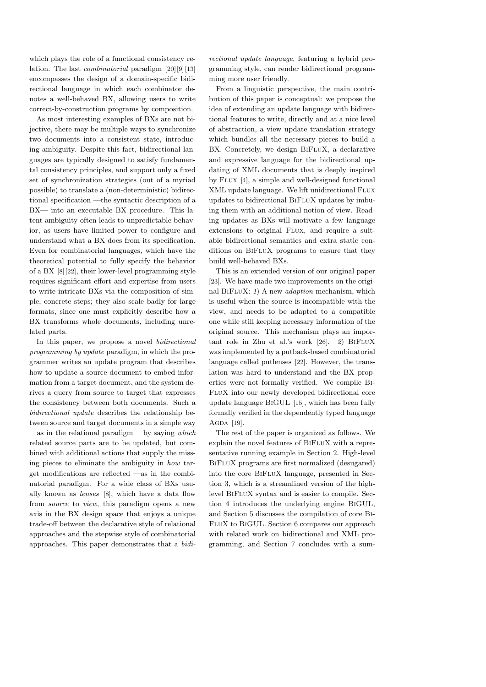which plays the role of a functional consistency relation. The last *combinatorial* paradigm [20][9][13] encompasses the design of a domain-specific bidirectional language in which each combinator denotes a well-behaved BX, allowing users to write correct-by-construction programs by composition.

As most interesting examples of BXs are not bijective, there may be multiple ways to synchronize two documents into a consistent state, introducing ambiguity. Despite this fact, bidirectional languages are typically designed to satisfy fundamental consistency principles, and support only a fixed set of synchronization strategies (out of a myriad possible) to translate a (non-deterministic) bidirectional specification —the syntactic description of a BX— into an executable BX procedure. This latent ambiguity often leads to unpredictable behavior, as users have limited power to configure and understand what a BX does from its specification. Even for combinatorial languages, which have the theoretical potential to fully specify the behavior of a BX [8][22], their lower-level programming style requires significant effort and expertise from users to write intricate BXs via the composition of simple, concrete steps; they also scale badly for large formats, since one must explicitly describe how a BX transforms whole documents, including unrelated parts.

In this paper, we propose a novel *bidirectional programming by update* paradigm, in which the programmer writes an update program that describes how to update a source document to embed information from a target document, and the system derives a query from source to target that expresses the consistency between both documents. Such a *bidirectional update* describes the relationship between source and target documents in a simple way —as in the relational paradigm— by saying *which* related source parts are to be updated, but combined with additional actions that supply the missing pieces to eliminate the ambiguity in *how* target modifications are reflected —as in the combinatorial paradigm. For a wide class of BXs usually known as *lenses* [8], which have a data flow from *source* to *view*, this paradigm opens a new axis in the BX design space that enjoys a unique trade-off between the declarative style of relational approaches and the stepwise style of combinatorial approaches. This paper demonstrates that a *bidi-* *rectional update language*, featuring a hybrid programming style, can render bidirectional programming more user friendly.

From a linguistic perspective, the main contribution of this paper is conceptual: we propose the idea of extending an update language with bidirectional features to write, directly and at a nice level of abstraction, a view update translation strategy which bundles all the necessary pieces to build a BX. Concretely, we design BIFLUX, a declarative and expressive language for the bidirectional updating of XML documents that is deeply inspired by Flux [4], a simple and well-designed functional XML update language. We lift unidirectional Flux updates to bidirectional BiFluX updates by imbuing them with an additional notion of view. Reading updates as BXs will motivate a few language extensions to original FLUX, and require a suitable bidirectional semantics and extra static conditions on BiFluX programs to ensure that they build well-behaved BXs.

This is an extended version of our original paper [23]. We have made two improvements on the original BiFluX: *1*) A new *adaption* mechanism, which is useful when the source is incompatible with the view, and needs to be adapted to a compatible one while still keeping necessary information of the original source. This mechanism plays an important role in Zhu et al.'s work [26]. 2) BIFLUX was implemented by a putback-based combinatorial language called putlenses [22]. However, the translation was hard to understand and the BX properties were not formally verified. We compile Bi-FluX into our newly developed bidirectional core update language BiGUL [15], which has been fully formally verified in the dependently typed language AGDA [19].

The rest of the paper is organized as follows. We explain the novel features of BIFLUX with a representative running example in Section 2. High-level BiFluX programs are first normalized (desugared) into the core BiFluX language, presented in Section 3, which is a streamlined version of the highlevel BiFluX syntax and is easier to compile. Section 4 introduces the underlying engine BiGUL, and Section 5 discusses the compilation of core Bi-FluX to BiGUL. Section 6 compares our approach with related work on bidirectional and XML programming, and Section 7 concludes with a sum-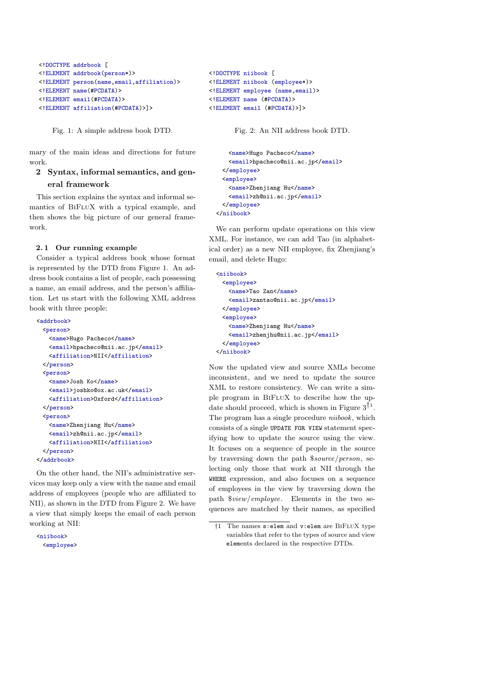```
<!DOCTYPE addrbook [
<!ELEMENT addrbook(person*)>
<!ELEMENT person(name,email,affiliation)>
<!ELEMENT name(#PCDATA)>
<!ELEMENT email(#PCDATA)>
<!ELEMENT affiliation(#PCDATA)>]>
```
Fig. 1: A simple address book DTD.

mary of the main ideas and directions for future work.

# **2 Syntax, informal semantics, and general framework**

This section explains the syntax and informal semantics of BiFluX with a typical example, and then shows the big picture of our general framework.

### **2. 1 Our running example**

Consider a typical address book whose format is represented by the DTD from Figure 1. An address book contains a list of people, each possessing a name, an email address, and the person's affiliation. Let us start with the following XML address book with three people:

```
<addrbook>
  <person>
   <name>Hugo Pacheco</name>
   <email>hpacheco@nii.ac.jp</email>
   <affiliation>NII</affiliation>
 </person>
  <person>
   <name>Josh Ko</name>
   <email>joshko@ox.ac.uk</email>
   <affiliation>Oxford</affiliation>
 </person>
  <person>
   <name>Zhenjiang Hu</name>
   <email>zh@nii.ac.jp</email>
   <affiliation>NII</affiliation>
  </person>
</addrbook>
```
On the other hand, the NII's administrative services may keep only a view with the name and email address of employees (people who are affiliated to NII), as shown in the DTD from Figure 2. We have a view that simply keeps the email of each person working at NII:

<niibook> <employee>

```
<!DOCTYPE niibook [
<!ELEMENT niibook (employee*)>
<!ELEMENT employee (name,email)>
<!ELEMENT name (#PCDATA)>
<!ELEMENT email (#PCDATA)>]>
```
Fig. 2: An NII address book DTD.

```
<name>Hugo Pacheco</name>
   <email>hpacheco@nii.ac.jp</email>
 </employee>
 <employee>
   <name>Zhenjiang Hu</name>
   <email>zh@nii.ac.jp</email>
 </employee>
</niibook>
```
We can perform update operations on this view XML. For instance, we can add Tao (in alphabetical order) as a new NII employee, fix Zhenjiang's email, and delete Hugo:

```
<niibook>
 <employee>
   <name>Tao Zan</name>
   <email>zantao@nii.ac.jp</email>
 </employee>
 <employee>
   <name>Zhenjiang Hu</name>
   <email>zhenjhu@nii.ac.jp</email>
 </employee>
</niibook>
```
Now the updated view and source XMLs become inconsistent, and we need to update the source XML to restore consistency. We can write a simple program in BiFluX to describe how the update should proceed, which is shown in Figure  $3^{\bar{1}1}$ . The program has a single procedure *niibook*, which consists of a single UPDATE FOR VIEW statement specifying how to update the source using the view. It focuses on a sequence of people in the source by traversing down the path \$*source/person*, selecting only those that work at NII through the WHERE expression, and also focuses on a sequence of employees in the view by traversing down the path \$*view/employee*. Elements in the two sequences are matched by their names, as specified

<sup>†</sup>1 The names s:elem and v:elem are BiFluX type variables that refer to the types of source and view elements declared in the respective DTDs.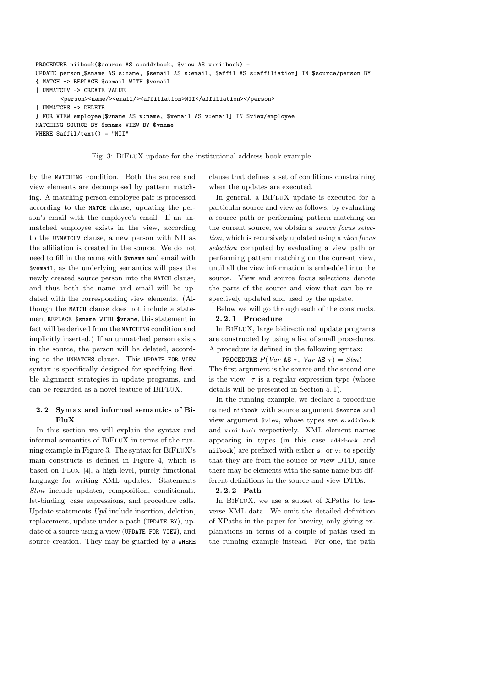```
PROCEDURE niibook($source AS s:addrbook, $view AS v:niibook) =
UPDATE person[$sname AS s:name, $semail AS s:email, $affil AS s:affiliation] IN $source/person BY
{ MATCH -> REPLACE $semail WITH $vemail
| UNMATCHV -> CREATE VALUE
       <person><name/>>email/><affiliation>NII</affiliation></person>
| UNMATCHS -> DELETE .
} FOR VIEW employee[$vname AS v:name, $vemail AS v:email] IN $view/employee
MATCHING SOURCE BY $sname VIEW BY $vname
WHERE $affil/text() = "NII"
```
Fig. 3: BiFluX update for the institutional address book example.

by the MATCHING condition. Both the source and view elements are decomposed by pattern matching. A matching person-employee pair is processed according to the MATCH clause, updating the person's email with the employee's email. If an unmatched employee exists in the view, according to the UNMATCHV clause, a new person with NII as the affiliation is created in the source. We do not need to fill in the name with \$vname and email with \$vemail, as the underlying semantics will pass the newly created source person into the MATCH clause, and thus both the name and email will be updated with the corresponding view elements. (Although the MATCH clause does not include a statement REPLACE \$sname WITH \$vname, this statement in fact will be derived from the MATCHING condition and implicitly inserted.) If an unmatched person exists in the source, the person will be deleted, according to the UNMATCHS clause. This UPDATE FOR VIEW syntax is specifically designed for specifying flexible alignment strategies in update programs, and can be regarded as a novel feature of BiFluX.

#### **2. 2 Syntax and informal semantics of Bi-FluX**

In this section we will explain the syntax and informal semantics of BiFluX in terms of the running example in Figure 3. The syntax for BIFLUX's main constructs is defined in Figure 4, which is based on FLUX [4], a high-level, purely functional language for writing XML updates. Statements *Stmt* include updates, composition, conditionals, let-binding, case expressions, and procedure calls. Update statements *Upd* include insertion, deletion, replacement, update under a path (UPDATE BY), update of a source using a view (UPDATE FOR VIEW), and source creation. They may be guarded by a WHERE clause that defines a set of conditions constraining when the updates are executed.

In general, a BIFLUX update is executed for a particular source and view as follows: by evaluating a source path or performing pattern matching on the current source, we obtain a *source focus selection*, which is recursively updated using a *view focus selection* computed by evaluating a view path or performing pattern matching on the current view, until all the view information is embedded into the source. View and source focus selections denote the parts of the source and view that can be respectively updated and used by the update.

Below we will go through each of the constructs.

# **2. 2. 1 Procedure**

In BiFluX, large bidirectional update programs are constructed by using a list of small procedures. A procedure is defined in the following syntax:

PROCEDURE  $P(Var \text{ AS } \tau, Var \text{ AS } \tau) = Stmt$ The first argument is the source and the second one is the view.  $\tau$  is a regular expression type (whose details will be presented in Section 5. 1).

In the running example, we declare a procedure named niibook with source argument \$source and view argument \$view, whose types are s:addrbook and v:niibook respectively. XML element names appearing in types (in this case addrbook and niibook) are prefixed with either s: or v: to specify that they are from the source or view DTD, since there may be elements with the same name but different definitions in the source and view DTDs.

#### **2. 2. 2 Path**

In BIFLUX, we use a subset of XPaths to traverse XML data. We omit the detailed definition of XPaths in the paper for brevity, only giving explanations in terms of a couple of paths used in the running example instead. For one, the path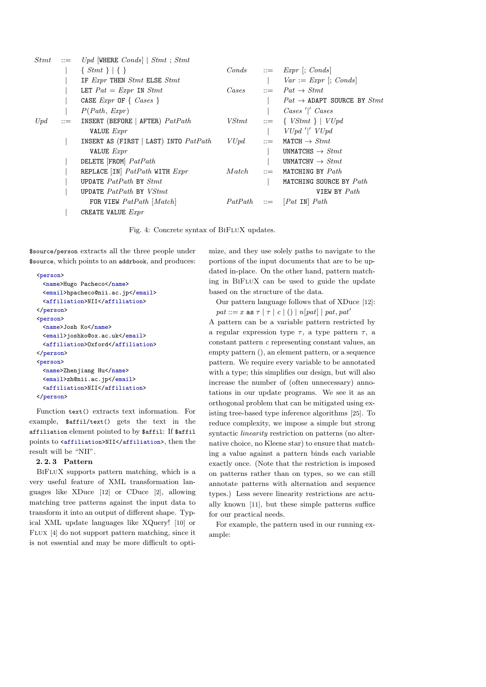| <i>Stmt</i> | $\mathrel{\mathop:}=$ | Upd WHERE $Conds$   Stmt; Stmt                |        |            |                                                        |
|-------------|-----------------------|-----------------------------------------------|--------|------------|--------------------------------------------------------|
|             |                       | $\{ \; Stmt \; \} \;   \; \{\; \}$            | Conds  |            | $ ::= \quad \text{Expr}$  ; Conds                      |
|             |                       | IF Expr THEN Stmt ELSE Stmt                   |        |            | $Var := Expr$ ; Conds                                  |
|             |                       | LET $Pat = Expr$ IN $Stmt$                    | Cases  |            | $\therefore$ $Pat \rightarrow Stmt$                    |
|             |                       | CASE $Expr$ OF $\{ \text{ \textit{Case} } \}$ |        |            | $Pat \rightarrow$ ADAPT SOURCE BY $Stmt$               |
|             |                       | P(Path, Expr)                                 |        |            | Cases ' ' Cases                                        |
| Upd         | $\mathrel{\mathop:}=$ | INSERT (BEFORE   AFTER) $Path$                | VStmt  | $\cdots =$ | $\{ VStmt \} \mid VUpd$                                |
|             |                       | VALUE Expr                                    |        |            | $VUpd'$  ' $VUpd$                                      |
|             |                       | INSERT AS (FIRST   LAST) INTO $Path$          | VUpd   |            | $ ::=$ MATCH $\rightarrow$ Stmt                        |
|             |                       | VALUE <i>Expr</i>                             |        |            | UNMATCHS $\rightarrow$ Stmt                            |
|             |                       | DELETE [FROM] PatPath                         |        |            | UNMATCHV $\rightarrow$ Stmt                            |
|             |                       | REPLACE [IN] $Path$ WITH $Expr$               | Match. |            | $ ::=$ MATCHING BY $Path$                              |
|             |                       | UPDATE $Path$ BY $Stmt$                       |        |            | MATCHING SOURCE BY Path                                |
|             |                       | UPDATE $Path$ BY $VStmt$                      |        |            | VIEW BY Path                                           |
|             |                       | FOR VIEW $Path$ [ <i>Match</i> ]              |        |            | $Path \quad ::= \quad [Pat \; \text{IN} \; \; Path \;$ |
|             |                       | CREATE VALUE $Expr$                           |        |            |                                                        |

Fig. 4: Concrete syntax of BiFluX updates.

\$source/person extracts all the three people under \$source, which points to an addrbook, and produces:

```
<person>
  <name>Hugo Pacheco</name>
  <email>hpacheco@nii.ac.jp</email>
 <affiliation>NII</affiliation>
</person>
<person>
 <name>Josh Ko</name>
 <email>joshko@ox.ac.uk</email>
 <affiliation>Oxford</affiliation>
</person>
<person>
 <name>Zhenjiang Hu</name>
 <email>zh@nii.ac.jp</email>
 <affiliation>NII</affiliation>
</person>
```
Function text() extracts text information. For example, \$affil/text() gets the text in the affiliation element pointed to by \$affil: If \$affil points to <affiliation>NII</affiliation>, then the result will be "NII".

## **2. 2. 3 Pattern**

BiFluX supports pattern matching, which is a very useful feature of XML transformation languages like XDuce [12] or CDuce [2], allowing matching tree patterns against the input data to transform it into an output of different shape. Typical XML update languages like XQuery! [10] or Flux [4] do not support pattern matching, since it is not essential and may be more difficult to optimize, and they use solely paths to navigate to the portions of the input documents that are to be updated in-place. On the other hand, pattern matching in BiFluX can be used to guide the update based on the structure of the data.

Our pattern language follows that of XDuce [12]: *pat* ::= *x* as  $\tau | \tau | c | () | n[pat] | pat$ ,  $pat'$ 

A pattern can be a variable pattern restricted by a regular expression type  $\tau$ , a type pattern  $\tau$ , a constant pattern *c* representing constant values, an empty pattern (), an element pattern, or a sequence pattern. We require every variable to be annotated with a type; this simplifies our design, but will also increase the number of (often unnecessary) annotations in our update programs. We see it as an orthogonal problem that can be mitigated using existing tree-based type inference algorithms [25]. To reduce complexity, we impose a simple but strong syntactic *linearity* restriction on patterns (no alternative choice, no Kleene star) to ensure that matching a value against a pattern binds each variable exactly once. (Note that the restriction is imposed on patterns rather than on types, so we can still annotate patterns with alternation and sequence types.) Less severe linearity restrictions are actually known [11], but these simple patterns suffice for our practical needs.

For example, the pattern used in our running example: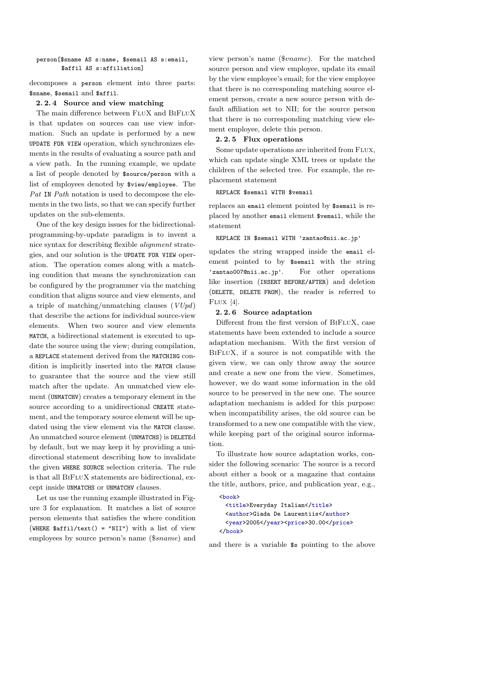```
person[$sname AS s:name, $semail AS s:email,
       $affil AS s:affiliation]
```
decomposes a person element into three parts: \$sname, \$semail and \$affil.

## **2. 2. 4 Source and view matching**

The main difference between FLUX and BIFLUX is that updates on sources can use view information. Such an update is performed by a new UPDATE FOR VIEW operation, which synchronizes elements in the results of evaluating a source path and a view path. In the running example, we update a list of people denoted by \$source/person with a list of employees denoted by \$view/employee. The *Pat* IN *Path* notation is used to decompose the elements in the two lists, so that we can specify further updates on the sub-elements.

One of the key design issues for the bidirectionalprogramming-by-update paradigm is to invent a nice syntax for describing flexible *alignment* strategies, and our solution is the UPDATE FOR VIEW operation. The operation comes along with a matching condition that means the synchronization can be configured by the programmer via the matching condition that aligns source and view elements, and a triple of matching/unmatching clauses (*VUpd*) that describe the actions for individual source-view elements. When two source and view elements MATCH, a bidirectional statement is executed to update the source using the view; during compilation, a REPLACE statement derived from the MATCHING condition is implicitly inserted into the MATCH clause to guarantee that the source and the view still match after the update. An unmatched view element (UNMATCHV) creates a temporary element in the source according to a unidirectional CREATE statement, and the temporary source element will be updated using the view element via the MATCH clause. An unmatched source element (UNMATCHS) is DELETEd by default, but we may keep it by providing a unidirectional statement describing how to invalidate the given WHERE SOURCE selection criteria. The rule is that all BiFluX statements are bidirectional, except inside UNMATCHS or UNMATCHV clauses.

Let us use the running example illustrated in Figure 3 for explanation. It matches a list of source person elements that satisfies the where condition (WHERE  $\delta$ affil/text() = "NII") with a list of view employees by source person's name (\$*sname*) and view person's name (\$*vname*). For the matched source person and view employee, update its email by the view employee's email; for the view employee that there is no corresponding matching source element person, create a new source person with default affiliation set to NII; for the source person that there is no corresponding matching view element employee, delete this person.

## **2. 2. 5 Flux operations**

Some update operations are inherited from FLUX, which can update single XML trees or update the children of the selected tree. For example, the replacement statement

REPLACE \$semail WITH \$vemail

replaces an email element pointed by \$semail is replaced by another email element \$vemail, while the statement

## REPLACE IN \$semail WITH 'zantao@nii.ac.jp'

updates the string wrapped inside the email element pointed to by \$semail with the string 'zantao007@nii.ac.jp'. For other operations like insertion (INSERT BEFORE/AFTER) and deletion (DELETE, DELETE FROM), the reader is referred to Flux [4].

#### **2. 2. 6 Source adaptation**

Different from the first version of BIFLUX, case statements have been extended to include a source adaptation mechanism. With the first version of BiFluX, if a source is not compatible with the given view, we can only throw away the source and create a new one from the view. Sometimes, however, we do want some information in the old source to be preserved in the new one. The source adaptation mechanism is added for this purpose: when incompatibility arises, the old source can be transformed to a new one compatible with the view, while keeping part of the original source information.

To illustrate how source adaptation works, consider the following scenario: The source is a record about either a book or a magazine that contains the title, authors, price, and publication year, e.g.,

```
\langle \text{hook} \rangle<title>Everyday Italian</title>
  <author>Giada De Laurentiis</author>
  <year>2005</year><price>30.00</price>
</book>
```
and there is a variable \$s pointing to the above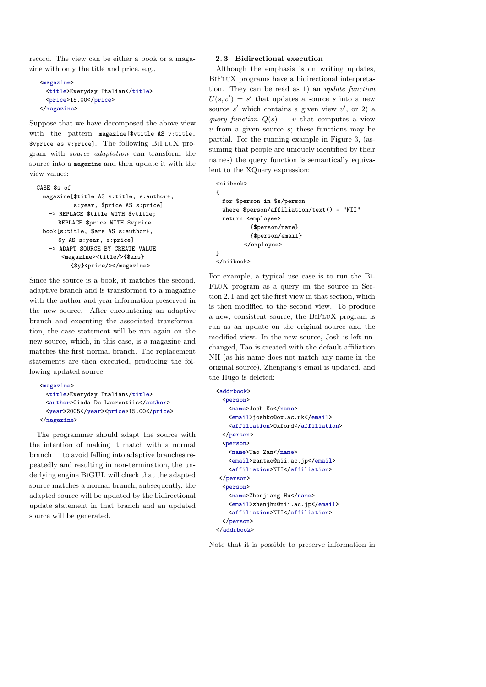record. The view can be either a book or a magazine with only the title and price, e.g.,

```
<magazine>
  <title>Everyday Italian</title>
  <price>15.00</price>
</magazine>
```
Suppose that we have decomposed the above view with the pattern magazine[\$vtitle AS v:title, \$vprice as v:price]. The following BiFluX program with *source adaptation* can transform the source into a magazine and then update it with the view values:

```
CASE $s of
 magazine[$title AS s:title, s:author+,
           s:year, $price AS s:price]
   -> REPLACE $title WITH $vtitle;
      REPLACE $price WITH $vprice
 book[s:title, $ars AS s:author+,
      $y AS s:year, s:price]
   -> ADAPT SOURCE BY CREATE VALUE
       <magazine><title/>{$ars}
          {$y}<price/></magazine>
```
Since the source is a book, it matches the second, adaptive branch and is transformed to a magazine with the author and year information preserved in the new source. After encountering an adaptive branch and executing the associated transformation, the case statement will be run again on the new source, which, in this case, is a magazine and matches the first normal branch. The replacement statements are then executed, producing the following updated source:

```
<magazine>
  <title>Everyday Italian</title>
  <author>Giada De Laurentiis</author>
  <year>2005</year><price>15.00</price>
</magazine>
```
The programmer should adapt the source with the intention of making it match with a normal branch — to avoid falling into adaptive branches repeatedly and resulting in non-termination, the underlying engine BiGUL will check that the adapted source matches a normal branch; subsequently, the adapted source will be updated by the bidirectional update statement in that branch and an updated source will be generated.

#### **2. 3 Bidirectional execution**

Although the emphasis is on writing updates, BiFluX programs have a bidirectional interpretation. They can be read as 1) an *update function*  $U(s, v') = s'$  that updates a source *s* into a new source  $s'$  which contains a given view  $v'$ , or 2) a *query function*  $Q(s) = v$  that computes a view *v* from a given source *s*; these functions may be partial. For the running example in Figure 3, (assuming that people are uniquely identified by their names) the query function is semantically equivalent to the XQuery expression:

```
<niibook>
{
 for $person in $s/person
 where $person/affiliation/text() = "NII"
 return <employee>
          {$person/name}
          {$person/email}
        </employee>
}
</niibook>
```
For example, a typical use case is to run the Bi-FluX program as a query on the source in Section 2. 1 and get the first view in that section, which is then modified to the second view. To produce a new, consistent source, the BiFluX program is run as an update on the original source and the modified view. In the new source, Josh is left unchanged, Tao is created with the default affiliation NII (as his name does not match any name in the original source), Zhenjiang's email is updated, and the Hugo is deleted:

```
<addrbook>
 <person>
   <name>Josh Ko</name>
   <email>joshko@ox.ac.uk</email>
   <affiliation>Oxford</affiliation>
 </person>
 <person>
   <name>Tao Zan</name>
   <email>zantao@nii.ac.jp</email>
   <affiliation>NII</affiliation>
</person>
 <person>
   <name>Zhenjiang Hu</name>
   <email>zhenjhu@nii.ac.jp</email>
   <affiliation>NII</affiliation>
 </person>
</addrbook>
```
Note that it is possible to preserve information in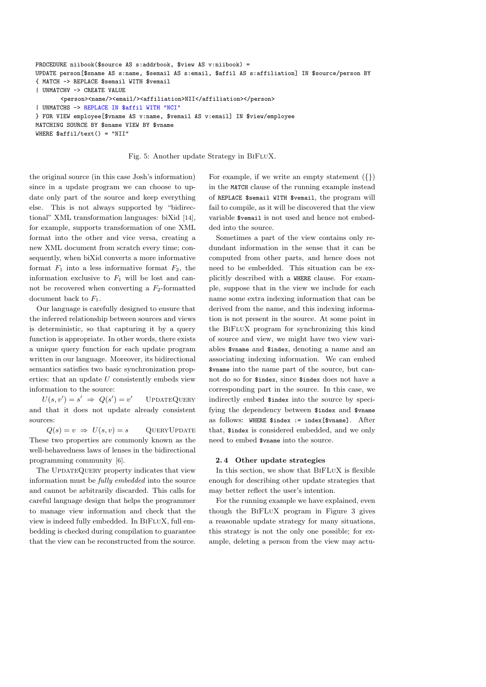```
PROCEDURE niibook($source AS s:addrbook, $view AS v:niibook) =
UPDATE person[$sname AS s:name, $semail AS s:email, $affil AS s:affiliation] IN $source/person BY
{ MATCH -> REPLACE $semail WITH $vemail
| UNMATCHV -> CREATE VALUE
       <person><name/>>email/><affiliation>NII</affiliation></person>
| UNMATCHS -> REPLACE IN $affil WITH "NCI"
} FOR VIEW employee[$vname AS v:name, $vemail AS v:email] IN $view/employee
MATCHING SOURCE BY $sname VIEW BY $vname
WHERE $affil/text() = "NII"
```
Fig. 5: Another update Strategy in BiFluX.

the original source (in this case Josh's information) since in a update program we can choose to update only part of the source and keep everything else. This is not always supported by "bidirectional" XML transformation languages: biXid [14], for example, supports transformation of one XML format into the other and vice versa, creating a new XML document from scratch every time; consequently, when biXid converts a more informative format  $F_1$  into a less informative format  $F_2$ , the information exclusive to *F*<sup>1</sup> will be lost and cannot be recovered when converting a *F*2-formatted document back to *F*1.

Our language is carefully designed to ensure that the inferred relationship between sources and views is deterministic, so that capturing it by a query function is appropriate. In other words, there exists a unique query function for each update program written in our language. Moreover, its bidirectional semantics satisfies two basic synchronization properties: that an update *U* consistently embeds view information to the source:

 $U(s, v') = s' \Rightarrow Q(s') = v$ *′* UpdateQuery and that it does not update already consistent sources:

 $Q(s) = v \Rightarrow U(s, v) = s$  QUERYUPDATE These two properties are commonly known as the well-behavedness laws of lenses in the bidirectional programming community [6].

The UPDATEQUERY property indicates that view information must be *fully embedded* into the source and cannot be arbitrarily discarded. This calls for careful language design that helps the programmer to manage view information and check that the view is indeed fully embedded. In BIFLUX, full embedding is checked during compilation to guarantee that the view can be reconstructed from the source. For example, if we write an empty statement (*{}*) in the MATCH clause of the running example instead of REPLACE \$semail WITH \$vemail, the program will fail to compile, as it will be discovered that the view variable \$vemail is not used and hence not embedded into the source.

Sometimes a part of the view contains only redundant information in the sense that it can be computed from other parts, and hence does not need to be embedded. This situation can be explicitly described with a WHERE clause. For example, suppose that in the view we include for each name some extra indexing information that can be derived from the name, and this indexing information is not present in the source. At some point in the BiFluX program for synchronizing this kind of source and view, we might have two view variables \$vname and \$index, denoting a name and an associating indexing information. We can embed \$vname into the name part of the source, but cannot do so for \$index, since \$index does not have a corresponding part in the source. In this case, we indirectly embed \$index into the source by specifying the dependency between \$index and \$vname as follows: WHERE \$index := index[\$vname]. After that, \$index is considered embedded, and we only need to embed \$vname into the source.

#### **2. 4 Other update strategies**

In this section, we show that BiFLuX is flexible enough for describing other update strategies that may better reflect the user's intention.

For the running example we have explained, even though the BiFLuX program in Figure 3 gives a reasonable update strategy for many situations, this strategy is not the only one possible; for example, deleting a person from the view may actu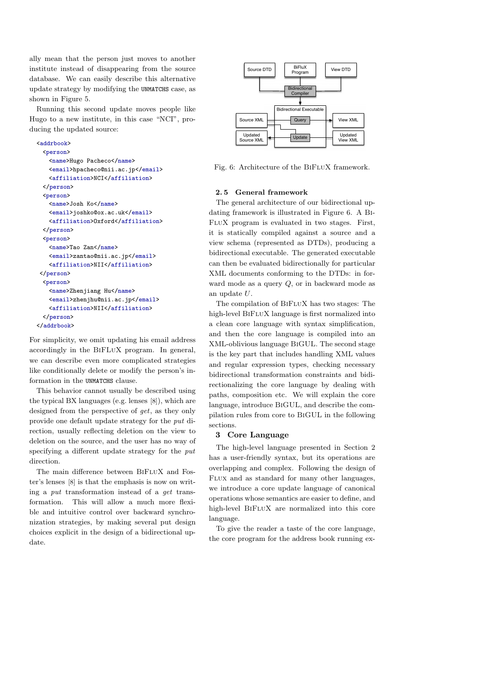ally mean that the person just moves to another institute instead of disappearing from the source database. We can easily describe this alternative update strategy by modifying the UNMATCHS case, as shown in Figure 5.

Running this second update moves people like Hugo to a new institute, in this case "NCI", producing the updated source:

```
<addrbook>
  <person>
    <name>Hugo Pacheco</name>
   <email>hpacheco@nii.ac.jp</email>
   <affiliation>NCI</affiliation>
 </person>
  <person>
   <name>Josh Ko</name>
   <email>joshko@ox.ac.uk</email>
   <affiliation>Oxford</affiliation>
 \langle/person\rangle<person>
   <name>Tao Zan</name>
   <email>zantao@nii.ac.jp</email>
   <affiliation>NII</affiliation>
\langle/person\rangle<person>
   <name>Zhenjiang Hu</name>
   <email>zhenjhu@nii.ac.jp</email>
   <affiliation>NII</affiliation>
  </person>
</addrbook>
```
For simplicity, we omit updating his email address accordingly in the BiFLuX program. In general, we can describe even more complicated strategies like conditionally delete or modify the person's information in the UNMATCHS clause.

This behavior cannot usually be described using the typical BX languages (e.g. lenses [8]), which are designed from the perspective of *get*, as they only provide one default update strategy for the *put* direction, usually reflecting deletion on the view to deletion on the source, and the user has no way of specifying a different update strategy for the *put* direction.

The main difference between BIFLUX and Foster's lenses [8] is that the emphasis is now on writing a *put* transformation instead of a *get* transformation. This will allow a much more flexible and intuitive control over backward synchronization strategies, by making several put design choices explicit in the design of a bidirectional update.



Fig. 6: Architecture of the BiFluX framework.

## **2. 5 General framework**

The general architecture of our bidirectional updating framework is illustrated in Figure 6. A Bi-FluX program is evaluated in two stages. First, it is statically compiled against a source and a view schema (represented as DTDs), producing a bidirectional executable. The generated executable can then be evaluated bidirectionally for particular XML documents conforming to the DTDs: in forward mode as a query *Q*, or in backward mode as an update *U*.

The compilation of BiFluX has two stages: The high-level BiFluX language is first normalized into a clean core language with syntax simplification, and then the core language is compiled into an XML-oblivious language BiGUL. The second stage is the key part that includes handling XML values and regular expression types, checking necessary bidirectional transformation constraints and bidirectionalizing the core language by dealing with paths, composition etc. We will explain the core language, introduce BiGUL, and describe the compilation rules from core to BiGUL in the following sections.

## **3 Core Language**

The high-level language presented in Section 2 has a user-friendly syntax, but its operations are overlapping and complex. Following the design of Flux and as standard for many other languages, we introduce a core update language of canonical operations whose semantics are easier to define, and high-level BiFluX are normalized into this core language.

To give the reader a taste of the core language, the core program for the address book running ex-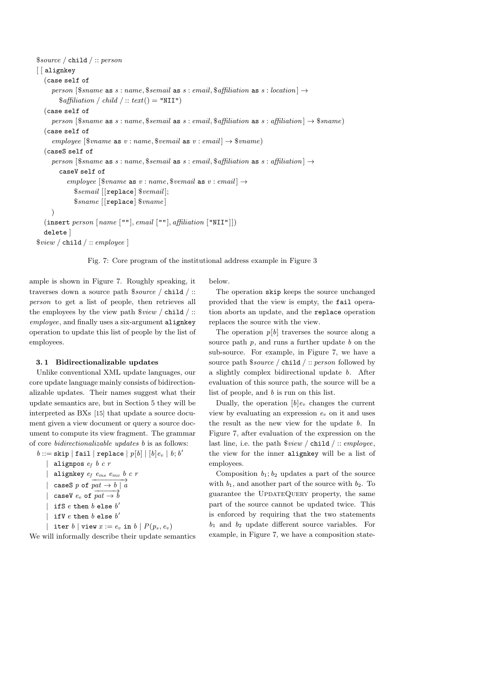```
$source / child / :: person
[ alignkey
  (case self of
     person [$same as s: name, $semail as s: email, $affilation as s: location] \rightarrow\$\text{affiliation}\ / \text{child}\ /::\ text() = "NII")(case self of
     person [$same as s: name, $semail as s: email, \{affilation \} \rightarrow \$smame]
  (case self of
      employee [\text{$\frac{1}{2}$vname as v : name, \text{$\frac{1}{2}$}vemail as v : email \rightarrow \text{$\frac{1}{2}$} vname)
  (caseS self of
     person [$sname as s: name, $semail as s: email, $affiliation as s: affiliation] \rightarrowcaseV self of
           eemployee [\text{$\$}vname as v : name, \text{$\$}vemail as v : email] \rightarrow$semail [[replace] $vemail ];
             $sname [[replace] $vname ]
     \lambda(insert person [name [""], email [""], affiliation ["NII"]])
  delete ]
$view / child / :: employee ]
```
Fig. 7: Core program of the institutional address example in Figure 3

below.

ample is shown in Figure 7. Roughly speaking, it traverses down a source path \$*source /* child */* :: *person* to get a list of people, then retrieves all the employees by the view path \$*view /* child */* :: *employee*, and finally uses a six-argument alignkey operation to update this list of people by the list of employees.

#### **3. 1 Bidirectionalizable updates**

Unlike conventional XML update languages, our core update language mainly consists of bidirectionalizable updates. Their names suggest what their update semantics are, but in Section 5 they will be interpreted as BXs [15] that update a source document given a view document or query a source document to compute its view fragment. The grammar of core *bidirectionalizable updates b* is as follows:

 $b ::=$  skip  $|$  fail  $|$  replace  $|$   $p[b]$   $|$   $[b]e_v |$   $b;$   $b'$ 

- *|* alignpos *e<sup>f</sup> b c r*
- *|* alignkey *e<sup>f</sup> ems emv b c r*
- $\vert$  caseS *p* of  $\overrightarrow{pat \rightarrow b \mid a}$
- $\vert$  caseV  $e_v$  of  $\overrightarrow{pat \rightarrow b}$
- 
- $\vert$  ifS  $e$  then  $b$  else  $b'$

$$
| \text{ if } V e \text{ then } b \text{ else } b'
$$

 $|$  iter *b*  $|$  view  $x := e_v$  in  $b | P(p_s, e_v)$ We will informally describe their update semantics

The operation skip keeps the source unchanged provided that the view is empty, the fail operation aborts an update, and the replace operation replaces the source with the view.

The operation  $p[b]$  traverses the source along a source path *p*, and runs a further update *b* on the sub-source. For example, in Figure 7, we have a source path \$*source /* child */* :: *person* followed by a slightly complex bidirectional update *b*. After evaluation of this source path, the source will be a list of people, and *b* is run on this list.

Dually, the operation  $[b]e_v$  changes the current view by evaluating an expression *e<sup>v</sup>* on it and uses the result as the new view for the update *b*. In Figure 7, after evaluation of the expression on the last line, i.e. the path \$*view /* child */* :: *employee*, the view for the inner alignkey will be a list of employees.

Composition  $b_1$ ;  $b_2$  updates a part of the source with  $b_1$ , and another part of the source with  $b_2$ . To guarantee the UpdateQuery property, the same part of the source cannot be updated twice. This is enforced by requiring that the two statements  $b_1$  and  $b_2$  update different source variables. For example, in Figure 7, we have a composition state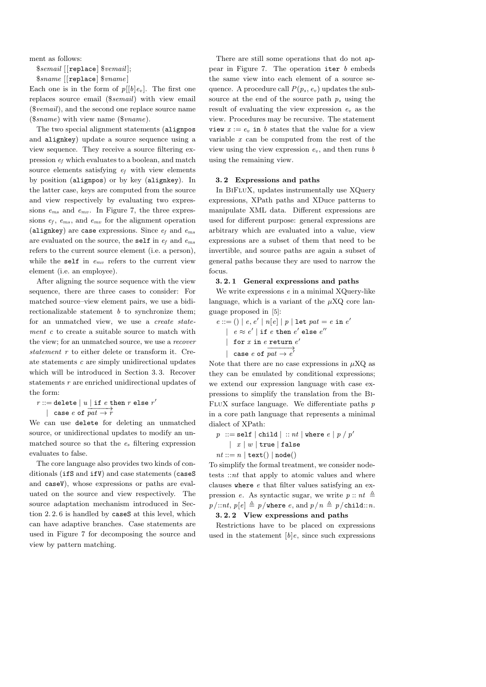ment as follows:

\$*semail* [[replace] \$*vemail* ];

\$*sname* [[replace] \$*vname* ]

Each one is in the form of  $p[[b]e_v]$ . The first one replaces source email (\$*semail*) with view email (\$*vemail*), and the second one replace source name (\$*sname*) with view name (\$*vname*).

The two special alignment statements (alignpos and alignkey) update a source sequence using a view sequence. They receive a source filtering expression *e<sup>f</sup>* which evaluates to a boolean, and match source elements satisfying *e<sup>f</sup>* with view elements by position (alignpos) or by key (alignkey). In the latter case, keys are computed from the source and view respectively by evaluating two expressions *ems* and *emv* . In Figure 7, the three expressions *e<sup>f</sup>* , *ems* , and *emv* for the alignment operation (alignkey) are case expressions. Since *e<sup>f</sup>* and *ems* are evaluated on the source, the self in *e<sup>f</sup>* and *ems* refers to the current source element (i.e. a person), while the self in *emv* refers to the current view element (i.e. an employee).

After aligning the source sequence with the view sequence, there are three cases to consider: For matched source–view element pairs, we use a bidirectionalizable statement *b* to synchronize them; for an unmatched view, we use a *create statement c* to create a suitable source to match with the view; for an unmatched source, we use a *recover statement r* to either delete or transform it. Create statements *c* are simply unidirectional updates which will be introduced in Section 3. 3. Recover statements *r* are enriched unidirectional updates of the form:

 $r ::=$  delete  $|u|$  if  $e$  then  $r$  else  $r'$ *|* case *e* of  $\overrightarrow{pat}$  → *r* 

We can use delete for deleting an unmatched source, or unidirectional updates to modify an unmatched source so that the  $e<sub>s</sub>$  filtering expression evaluates to false.

The core language also provides two kinds of conditionals (ifS and ifV) and case statements (caseS and caseV), whose expressions or paths are evaluated on the source and view respectively. The source adaptation mechanism introduced in Section 2. 2. 6 is handled by caseS at this level, which can have adaptive branches. Case statements are used in Figure 7 for decomposing the source and view by pattern matching.

There are still some operations that do not appear in Figure 7. The operation iter *b* embeds the same view into each element of a source sequence. A procedure call  $P(p_s, e_v)$  updates the subsource at the end of the source path *p<sup>s</sup>* using the result of evaluating the view expression *e<sup>v</sup>* as the view. Procedures may be recursive. The statement view  $x := e_v$  in *b* states that the value for a view variable *x* can be computed from the rest of the view using the view expression  $e<sub>v</sub>$ , and then runs *b* using the remaining view.

#### **3. 2 Expressions and paths**

In BIFLUX, updates instrumentally use XQuery expressions, XPath paths and XDuce patterns to manipulate XML data. Different expressions are used for different purpose: general expressions are arbitrary which are evaluated into a value, view expressions are a subset of them that need to be invertible, and source paths are again a subset of general paths because they are used to narrow the focus.

## **3. 2. 1 General expressions and paths**

We write expressions *e* in a minimal XQuery-like language, which is a variant of the  $\mu XQ$  core language proposed in [5]:

 $e ::= () | e, e' | n[e] | p | let pat = e in e'$  $|$   $e \approx e'$   $|$  if  $e$  then  $e'$  else  $e''$ *|* for *x* in *e* return *e ′*  $|$  case *e* of  $\overrightarrow{pat \rightarrow e'}$ 

Note that there are no case expressions in  $\mu$ XQ as they can be emulated by conditional expressions; we extend our expression language with case expressions to simplify the translation from the Bi-FluX surface language. We differentiate paths *p* in a core path language that represents a minimal dialect of XPath:

 $p$  ::= self  $|$  child  $|$  ::  $nt$   $|$  where  $e$   $|$   $p$   $/$   $p'$ 

- *| x | w |* true *|* false
- $nt ::= n | \text{text()} | \text{node()}$

To simplify the formal treatment, we consider nodetests ::*nt* that apply to atomic values and where clauses where *e* that filter values satisfying an expression *e*. As syntactic sugar, we write  $p:: nt \triangleq$  $p/\text{::}nt$ ,  $p[e] \triangleq p/\text{where } e$ , and  $p/n \triangleq p/\text{child::}n$ . **3. 2. 2 View expressions and paths**

Restrictions have to be placed on expressions used in the statement  $[b]e$ , since such expressions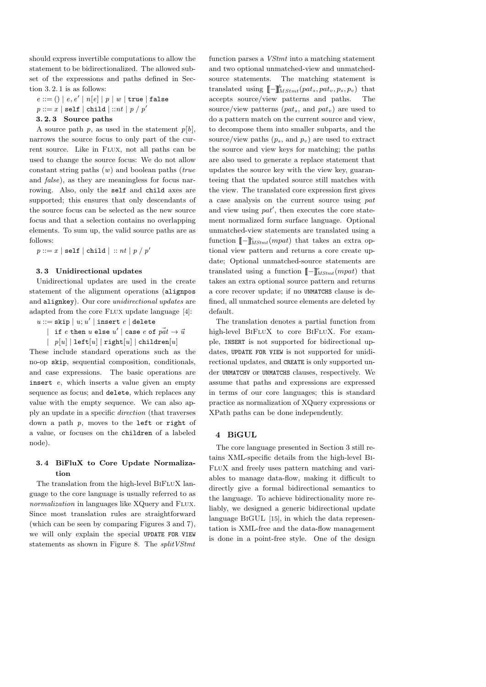should express invertible computations to allow the statement to be bidirectionalized. The allowed subset of the expressions and paths defined in Section 3. 2. 1 is as follows:

 $e ::= () | e, e' | n[e] | p | w | true | false$  $p ::= x \mid \mathtt{self} \mid \mathtt{child} \mid ::nt \mid p \mathbin{/} p'$ 

## **3. 2. 3 Source paths**

A source path  $p$ , as used in the statement  $p[b]$ , narrows the source focus to only part of the current source. Like in Flux, not all paths can be used to change the source focus: We do not allow constant string paths (*w*) and boolean paths (*true* and *false*), as they are meaningless for focus narrowing. Also, only the self and child axes are supported; this ensures that only descendants of the source focus can be selected as the new source focus and that a selection contains no overlapping elements. To sum up, the valid source paths are as follows:

 $p ::= x \mid \mathtt{self} \mid \mathtt{child} \mid :: nt \mid p \mathbin{/} p'$ 

## **3. 3 Unidirectional updates**

Unidirectional updates are used in the create statement of the alignment operations (alignpos and alignkey). Our core *unidirectional updates* are adapted from the core Flux update language [4]:

- $u ::=$  skip  $| u; u' |$  insert  $e |$  delete
	- $|$  if  $e$  then  $u$  else  $u'$   $|$  case  $e$  of  $p\vec{a}t \rightarrow \vec{u}$

*| p*[*u*] *|* left[*u*] *|* right[*u*] *|* children[*u*] These include standard operations such as the no-op skip, sequential composition, conditionals, and case expressions. The basic operations are insert *e*, which inserts a value given an empty sequence as focus; and delete, which replaces any value with the empty sequence. We can also apply an update in a specific *direction* (that traverses down a path *p*, moves to the left or right of a value, or focuses on the children of a labeled node).

# **3. 4 BiFluX to Core Update Normalization**

The translation from the high-level BIFLUX language to the core language is usually referred to as *normalization* in languages like XQuery and FLUX. Since most translation rules are straightforward (which can be seen by comparing Figures 3 and 7), we will only explain the special UPDATE FOR VIEW statements as shown in Figure 8. The *splitVStmt* function parses a *VStmt* into a matching statement and two optional unmatched-view and unmatchedsource statements. The matching statement is  ${\rm translated}$  using  $\llbracket - \rrbracket_{MStmt}^{b}(pat_s, pat_v, p_s, p_v)$  that accepts source/view patterns and paths. The source/view patterns (*pats*, and *patv*) are used to do a pattern match on the current source and view, to decompose them into smaller subparts, and the source/view paths  $(p_s, \text{ and } p_v)$  are used to extract the source and view keys for matching; the paths are also used to generate a replace statement that updates the source key with the view key, guaranteeing that the updated source still matches with the view. The translated core expression first gives a case analysis on the current source using *pat* and view using *pat′* , then executes the core statement normalized form surface language. Optional unmatched-view statements are translated using a function  $\llbracket - \rrbracket_{MStmt}^c(mpat)$  that takes an extra optional view pattern and returns a core create update; Optional unmatched-source statements are translated using a function  $\llbracket - \rrbracket_{MStmt}^r(mpat)$  that takes an extra optional source pattern and returns a core recover update; if no UNMATCHS clause is defined, all unmatched source elements are deleted by default.

The translation denotes a partial function from high-level BIFLUX to core BIFLUX. For example, INSERT is not supported for bidirectional updates, UPDATE FOR VIEW is not supported for unidirectional updates, and CREATE is only supported under UNMATCHV or UNMATCHS clauses, respectively. We assume that paths and expressions are expressed in terms of our core languages; this is standard practice as normalization of XQuery expressions or XPath paths can be done independently.

# **4 BiGUL**

The core language presented in Section 3 still retains XML-specific details from the high-level Bi-FluX and freely uses pattern matching and variables to manage data-flow, making it difficult to directly give a formal bidirectional semantics to the language. To achieve bidirectionality more reliably, we designed a generic bidirectional update language BiGUL [15], in which the data representation is XML-free and the data-flow management is done in a point-free style. One of the design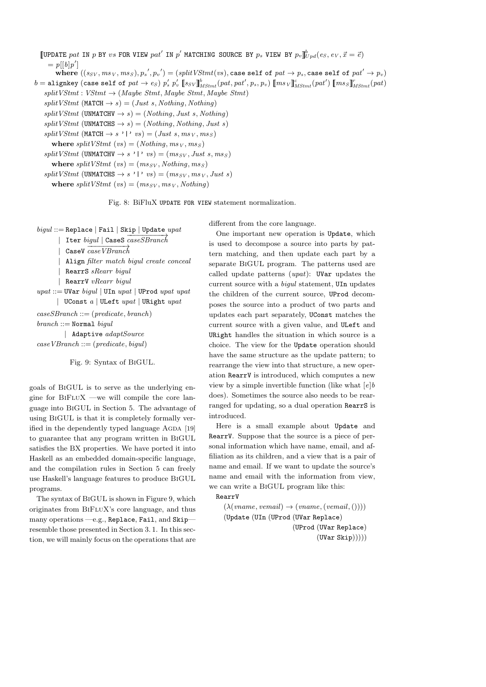**[UPDATE** pat IN p BY vs FOR VIEW pat' IN p' MATCHING SOURCE BY p<sub>s</sub> VIEW BY  $p_v$   $\int_{U}^{b} p_d(e_S, e_V, \vec{x} = \vec{e})$  $= p[[b]p']$ where  $((s_{SV},ms_{V},ms_{S}),p_{s}^{'},p_{v}^{'})=(splitVStmt(vs),$  case self of  $pat\rightarrow p_{s},$  case self of  $pat'\rightarrow p_{v})$  $b = \text{aligned}$  (case self of  $pat \rightarrow es$ )  $p'_s$   $p'_v$   $[ssv]_{MStmt}^b (pat, pat', p_s, p_v)$   $[msv]_{MStmt}^c (pat')$   $[mss]_{MStmt}^r (pat)$  $split VStmt : VStmt \rightarrow (Maybe Stmt, Maybe Stmt, Maybe Stmt)$  $split VStmt$  (MATCH  $\rightarrow$  *s*) = (*Just s, Nothing, Nothing*)  $split VStmt$  (UNMATCHV  $\rightarrow$  *s*) = (*Nothing, Just s, Nothing*)  $split VStmt$  (UNMATCHS  $\rightarrow$  *s*) = (*Nothing, Nothing, Just s*)  $split VStmt$  (MATCH  $\rightarrow s$  '|'  $vs$ ) = (*Just s, ms*<sub>V</sub>*, ms*<sub>*S*</sub>) **where**  $splitVStmt$  (*vs*) = (*Nothing, ms*<sub>*V*</sub>*, ms*<sub>*S*</sub>)  $splitVStmt$  (UNMATCHV  $\rightarrow$  *s* '|' *vs*) =  $(ms_{SV}, Just \ s, ms_{S})$ **where**  $split VStmt (vs) = (ms_{SV}, Nothing, ms_S)$  $splitVStmt$  (UNMATCHS  $\rightarrow$  *s* '|' *vs*) =  $(ms_{SV}, ms_{V}, Just s)$ **where**  $splitVStmt$  (*vs*) = ( $ms_{SV}, ms_{V}, Nothing$ )

Fig. 8: BiFluX UPDATE FOR VIEW statement normalization.

different from the core language.

One important new operation is Update, which is used to decompose a source into parts by pattern matching, and then update each part by a separate BiGUL program. The patterns used are called update patterns (*upat*): UVar updates the current source with a *bigul* statement, UIn updates the children of the current source, UProd decomposes the source into a product of two parts and updates each part separately, UConst matches the current source with a given value, and ULeft and URight handles the situation in which source is a choice. The view for the Update operation should have the same structure as the update pattern; to rearrange the view into that structure, a new operation RearrV is introduced, which computes a new view by a simple invertible function (like what [*e*]*b* does). Sometimes the source also needs to be rearranged for updating, so a dual operation RearrS is introduced.

Here is a small example about Update and RearrV. Suppose that the source is a piece of personal information which have name, email, and affiliation as its children, and a view that is a pair of name and email. If we want to update the source's name and email with the information from view, we can write a BiGUL program like this:

RearrV

 $(\lambda(\text{vname}, \text{vemain}) \rightarrow (\text{vname}, (\text{vemain}, \text{(})))$ (Update (UIn (UProd (UVar Replace) (UProd (UVar Replace)  $(UVar \,$ Skip $))))$ 

*bigul* ::= Replace *|* Fail *|* Skip *|* Update *upat*

*|* Iter *bigul |* CaseS *−−−−−−−−−→ caseSBranch*

*|* CaseV *−−−−−−−−−→ caseVBranch*

- *|* Align *filter match bigul create conceal*
- *|* RearrS *sRearr bigul*
- *|* RearrV *vRearr bigul*
- *upat* ::= UVar *bigul |* UIn *upat |* UProd *upat upat |* UConst *a |* ULeft *upat |* URight *upat*
- *caseSBranch* ::= (*predicate, branch*)

*branch* ::= Normal *bigul*

*|* Adaptive *adaptSource*

*caseVBranch* ::= (*predicate, bigul*)

### Fig. 9: Syntax of BiGUL.

goals of BiGUL is to serve as the underlying engine for BiFluX —we will compile the core language into BiGUL in Section 5. The advantage of using BiGUL is that it is completely formally verified in the dependently typed language AGDA [19] to guarantee that any program written in BiGUL satisfies the BX properties. We have ported it into Haskell as an embedded domain-specific language, and the compilation rules in Section 5 can freely use Haskell's language features to produce BiGUL programs.

The syntax of BiGUL is shown in Figure 9, which originates from BiFluX's core language, and thus many operations —e.g., Replace, Fail, and Skip resemble those presented in Section 3. 1. In this section, we will mainly focus on the operations that are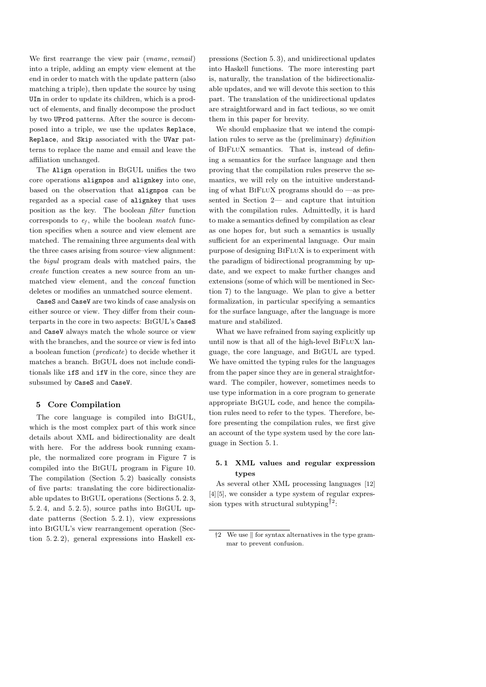We first rearrange the view pair (*vname, vemail*) into a triple, adding an empty view element at the end in order to match with the update pattern (also matching a triple), then update the source by using UIn in order to update its children, which is a product of elements, and finally decompose the product by two UProd patterns. After the source is decomposed into a triple, we use the updates Replace, Replace, and Skip associated with the UVar patterns to replace the name and email and leave the affiliation unchanged.

The Align operation in BiGUL unifies the two core operations alignpos and alignkey into one, based on the observation that alignpos can be regarded as a special case of alignkey that uses position as the key. The boolean *filter* function corresponds to *e<sup>f</sup>* , while the boolean *match* function specifies when a source and view element are matched. The remaining three arguments deal with the three cases arising from source–view alignment: the *bigul* program deals with matched pairs, the *create* function creates a new source from an unmatched view element, and the *conceal* function deletes or modifies an unmatched source element.

CaseS and CaseV are two kinds of case analysis on either source or view. They differ from their counterparts in the core in two aspects: BiGUL's CaseS and CaseV always match the whole source or view with the branches, and the source or view is fed into a boolean function (*predicate*) to decide whether it matches a branch. BiGUL does not include conditionals like ifS and ifV in the core, since they are subsumed by CaseS and CaseV.

#### **5 Core Compilation**

The core language is compiled into BiGUL, which is the most complex part of this work since details about XML and bidirectionality are dealt with here. For the address book running example, the normalized core program in Figure 7 is compiled into the BiGUL program in Figure 10. The compilation (Section 5. 2) basically consists of five parts: translating the core bidirectionalizable updates to BiGUL operations (Sections 5. 2. 3, 5. 2. 4, and 5. 2. 5), source paths into BiGUL update patterns (Section 5. 2. 1), view expressions into BiGUL's view rearrangement operation (Section 5. 2. 2), general expressions into Haskell expressions (Section 5. 3), and unidirectional updates into Haskell functions. The more interesting part is, naturally, the translation of the bidirectionalizable updates, and we will devote this section to this part. The translation of the unidirectional updates are straightforward and in fact tedious, so we omit them in this paper for brevity.

We should emphasize that we intend the compilation rules to serve as the (preliminary) *definition* of BiFluX semantics. That is, instead of defining a semantics for the surface language and then proving that the compilation rules preserve the semantics, we will rely on the intuitive understanding of what  $BIFLUX$  programs should do —as presented in Section 2— and capture that intuition with the compilation rules. Admittedly, it is hard to make a semantics defined by compilation as clear as one hopes for, but such a semantics is usually sufficient for an experimental language. Our main purpose of designing BiFluX is to experiment with the paradigm of bidirectional programming by update, and we expect to make further changes and extensions (some of which will be mentioned in Section 7) to the language. We plan to give a better formalization, in particular specifying a semantics for the surface language, after the language is more mature and stabilized.

What we have refrained from saying explicitly up until now is that all of the high-level BIFLUX language, the core language, and BiGUL are typed. We have omitted the typing rules for the languages from the paper since they are in general straightforward. The compiler, however, sometimes needs to use type information in a core program to generate appropriate BiGUL code, and hence the compilation rules need to refer to the types. Therefore, before presenting the compilation rules, we first give an account of the type system used by the core language in Section 5. 1.

# **5. 1 XML values and regular expression types**

As several other XML processing languages [12] [4][5], we consider a type system of regular expres- $\frac{1}{2}$  sion types with structural subtyping  $\frac{1}{2}$ .

<sup>†</sup>2 We use *∥* for syntax alternatives in the type grammar to prevent confusion.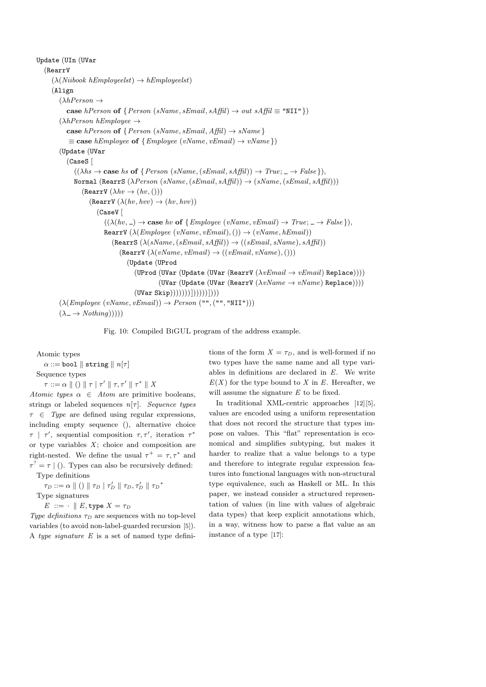Update (UIn (UVar (RearrV (*λ*(*Niibook hEmployeelst*) *→ hEmployeelst*) (Align (*λhPerson →* **case** *hPerson* **of**  $\{Person(sName, sEmail, sAffil) \rightarrow out sAffil \equiv "NII" \})$ (*λhPerson hEmployee →* **case**  $h$ *Person* **of**  $\{Person(sName, sEmail, Affil) \rightarrow sName\}$  $\equiv$  **case** *hEmployee* **of**  $\{ \text{Employee}(vName, vEmail) \rightarrow vName \})$ (Update (UVar (CaseS [  $((\lambda hs \rightarrow \text{case } hs \text{ of } \{ Person(sName, (sEmail, sAffil)) \rightarrow True; \_ \rightarrow False\}),$ Normal (RearrS (*λPerson* (*sName,*(*sEmail, sAffil*)) *→* (*sName,*(*sEmail, sAffil*)))  $($ RearrV  $(\lambda hv \rightarrow (hv,())$  $($ RearrV $($  $\lambda$  $(hv, hvv)$  $\rightarrow$  $(hv, hvv)$  $)$ (CaseV [  $((\lambda(hv, \_) \rightarrow \text{case } hv \text{ of } \{ \text{Employee } (vName, vEmail) \rightarrow True; \_ \rightarrow False \}).$ RearrV  $(\lambda(Employee (vName, vEmail),()) \rightarrow (vName, hEmail))$  $(Remark S(\lambda(sName, (sEmail, sAffil)) \rightarrow ((sEmail, sName), sAffil))$  $($ RearrV $(\lambda(vName, vEmail) \rightarrow ((vEmail, vName), )))$ (Update (UProd (UProd (UVar (Update (UVar (RearrV (*λvEmail → vEmail*) Replace)))) (UVar (Update (UVar (RearrV (*λvName → vName*) Replace))))  $(UVar$   $Skip))))$ ))))))))))))))))))  $(\lambda(Emplogee(vName, vEmail)) \rightarrow Person("", ("", "NII"))$  $(\lambda \rightarrow \text{Nothing})))$ 

Fig. 10: Compiled BiGUL program of the address example.

Atomic types

 $\alpha ::=$  bool  $\parallel$  string  $\parallel n[\tau]$ Sequence types *τ* ::=  $\alpha \parallel$  ()  $\parallel$   $\tau \mid$   $\tau' \parallel$   $\tau, \tau' \parallel$   $\tau^* \parallel$   $X$ 

*Atomic types*  $\alpha \in Atom$  are primitive booleans, strings or labeled sequences *n*[*τ* ]. *Sequence types τ ∈ Type* are defined using regular expressions, including empty sequence (), alternative choice  $\tau$  |  $\tau'$ , sequential composition  $\tau, \tau'$ , iteration  $\tau^*$ or type variables  $X$ ; choice and composition are right-nested. We define the usual  $\tau^+ = \tau, \tau^*$  and  $\tau^? = \tau$  | (). Types can also be recursively defined: Type definitions

 $\tau_D ::= \alpha \parallel () \parallel \tau_D \mid \tau'_D \parallel \tau_D, \tau'_D \parallel \tau_D^*$ 

Type signatures

 $E := \cdot \parallel E$ , type  $X = \tau_D$ 

*Type definitions*  $\tau_D$  are sequences with no top-level variables (to avoid non-label-guarded recursion [5]). A *type signature E* is a set of named type definitions of the form  $X = \tau_D$ , and is well-formed if no two types have the same name and all type variables in definitions are declared in *E*. We write  $E(X)$  for the type bound to *X* in *E*. Hereafter, we will assume the signature *E* to be fixed.

In traditional XML-centric approaches [12][5], values are encoded using a uniform representation that does not record the structure that types impose on values. This "flat" representation is economical and simplifies subtyping, but makes it harder to realize that a value belongs to a type and therefore to integrate regular expression features into functional languages with non-structural type equivalence, such as Haskell or ML. In this paper, we instead consider a structured representation of values (in line with values of algebraic data types) that keep explicit annotations which, in a way, witness how to parse a flat value as an instance of a type [17]: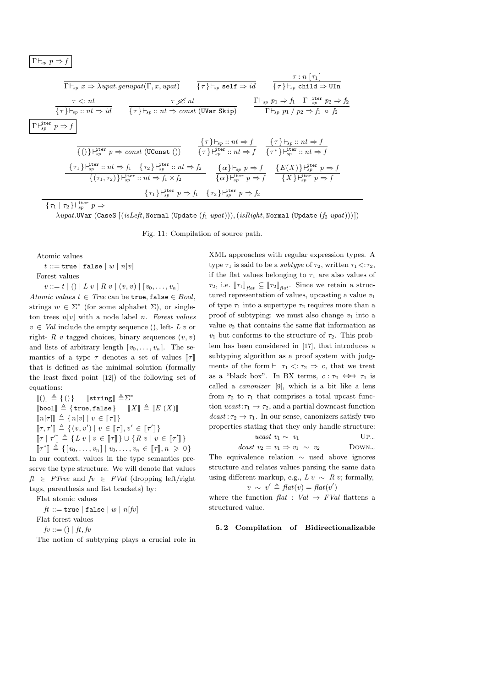$$
\Gamma \vdash_{\!sp} p \Rightarrow f
$$

$$
\begin{array}{c}\n\overline{\Gamma \vdash_{sp} x \Rightarrow \lambda upat.genupat(\Gamma, x, upat)} \\
\hline\n\frac{\tau \leq: nt}{\{\tau\} \vdash_{sp} x: nt \Rightarrow id} & \{\tau\} \vdash_{sp} \text{self} \Rightarrow id \\
\overline{\{\tau\} \vdash_{sp} x: nt \Rightarrow id} & \{\tau\} \vdash_{sp} x: nt \Rightarrow (UVar \text{ Skip}) & \Gamma \vdash_{sp} p_1 \Rightarrow f_1 \quad \Gamma \vdash_{sp}^{\text{iter}} p_2 \Rightarrow f_2 \\
\hline\n\Gamma \vdash_{sp}^{\text{iter}} p \Rightarrow f \\
\hline\n\frac{\{\Gamma \vdash_{sp} \vdash_{sp} :: nt \Rightarrow (UVar \text{ Skip})}{\{\{\tau\} \vdash_{sp} :: nt \Rightarrow (UConst))\}} & \{\tau\} \vdash_{sp} x: nt \Rightarrow f_1 \quad \{\tau\} \vdash_{sp} x: nt \Rightarrow f_2 \\
\hline\n\frac{\{\tau\} \vdash_{sp} :: nt \Rightarrow f}{\{\tau\} \vdash_{sp}^{\text{iter}} :: nt \Rightarrow f} & \{\tau\} \vdash_{sp}^{\text{iter}} :: nt \Rightarrow f \\
\frac{\{\tau\} \vdash_{sp} :: nt \Rightarrow f}{\{\{\tau\} \vdash_{sp}^{\text{iter}} :: nt \Rightarrow f \Rightarrow f} & \{\alpha\} \vdash_{sp} p \Rightarrow f}{\{\{\tau\} \vdash_{sp}^{\text{iter}} p \Rightarrow f} & \{\tau\} \vdash_{sp}^{\text{iter}} p \Rightarrow f \\
\frac{\{\tau\} \vdash_{sp}^{\text{iter}} :: nt \Rightarrow f_1 \quad \{\tau_2\} \vdash_{sp}^{\text{iter}} \vdash_{sp} \Rightarrow f}{\{\{\tau_1\} \vdash_{sp}^{\text{iter}} p \Rightarrow f} & \{\alpha\} \vdash_{sp}^{\text{iter}} p \Rightarrow f}{\{\{\tau_1\} \vdash_{sp}^{\text{iter}} p \Rightarrow f} & \{\tau_1\} \vdash_{sp}^{\text{iter}} p \Rightarrow f \\
\frac{\{\tau_1\} \vdash_{sp}^{\text{iter}} \vdash_{sp} p \Rightarrow f_1 \quad \{\tau_2\} \vdash_{sp}^{\text{iter}} p \Rightarrow f_2}{\{\{\tau_1\} \vdash_{sp}^{\text{iter}} p \Rightarrow f_1 \quad \{\tau_2\} \vdash_{sp}^{\text{iter}} p \Rightarrow f_2}\n\end{array}
$$

 $\{\tau_1 \mid \tau_2\} \vdash^{\text{iter}}_{sp} p \Rightarrow$ 

*λupat.*UVar (CaseS [(*isLeft,* Normal (Update (*f*<sup>1</sup> *upat*)))*,*(*isRight,* Normal (Update (*f*<sup>2</sup> *upat*)))])

Fig. 11: Compilation of source path.

Atomic values

 $t := true | false | w | n[v]$ 

Forest values

 $v ::= t | () | L v | R v | (v, v) | [v_0, \ldots, v_n]$ *Atomic values*  $t \in Tree$  *can be true, false*  $\in Bool$ , strings  $w \in \Sigma^*$  (for some alphabet  $\Sigma$ ), or singleton trees *n*[*v*] with a node label *n*. *Forest values*  $v \in Val$  include the empty sequence (), left- *L v* or right-  $R$  *v* tagged choices, binary sequences  $(v, v)$ and lists of arbitrary length  $[v_0, \ldots, v_n]$ . The semantics of a type  $\tau$  denotes a set of values  $\llbracket \tau \rrbracket$ that is defined as the minimal solution (formally the least fixed point [12]) of the following set of equations:

 $[[()]] \triangleq \{()\}$  [string]  $\triangleq \Sigma^*$  $\llbracket \text{bool} \rrbracket \triangleq \{ \text{true}, \text{false} \}$   $\llbracket X \rrbracket \triangleq \llbracket E(X) \rrbracket$  $[n\tau| \mathbb{R} \triangleq \{n[v] \mid v \in \llbracket \tau \rrbracket\}$  $\llbracket \tau, \tau' \rrbracket \triangleq \{ (v, v') \mid v \in \llbracket \tau \rrbracket, v' \in \llbracket \tau' \rrbracket \}$ <sup>J</sup>*<sup>τ</sup> <sup>|</sup> <sup>τ</sup> ′* <sup>K</sup> <sup>≜</sup> *{L v <sup>|</sup> <sup>v</sup> <sup>∈</sup>* <sup>J</sup>*<sup>τ</sup>* <sup>K</sup>*} ∪ {R v <sup>|</sup> <sup>v</sup> <sup>∈</sup>* <sup>J</sup>*<sup>τ</sup> ′* K*}*  $[\![\tau^*]\!] \triangleq \{ [v_0, \ldots, v_n] \mid v_0, \ldots, v_n \in [\![\tau]\!], n \geq 0 \}$ 

In our context, values in the type semantics preserve the type structure. We will denote flat values  $ft \in FTree$  and  $fv \in FVal$  (dropping left/right tags, parenthesis and list brackets) by:

Flat atomic values

 $ft ::=$ **true** |**false** |  $w | n[fv]$ Flat forest values

 $f(v ::= () | ft, fv)$ 

The notion of subtyping plays a crucial role in

XML approaches with regular expression types. A type  $\tau_1$  is said to be a *subtype* of  $\tau_2$ , written  $\tau_1 \leq \tau_2$ , if the flat values belonging to  $\tau_1$  are also values of  $\tau_2$ , i.e.  $\llbracket \tau_1 \rrbracket_{\text{flat}} \subseteq \llbracket \tau_2 \rrbracket_{\text{flat}}$ . Since we retain a structured representation of values, upcasting a value *v*<sup>1</sup> of type  $\tau_1$  into a supertype  $\tau_2$  requires more than a proof of subtyping: we must also change  $v_1$  into a value  $v_2$  that contains the same flat information as *v*<sub>1</sub> but conforms to the structure of  $\tau_2$ . This problem has been considered in [17], that introduces a subtyping algorithm as a proof system with judgments of the form  $\vdash \tau_1 \langle \tau_2 \Rightarrow c$ , that we treat as a "black box". In BX terms,  $c : \tau_2 \leftrightarrow \tau_1$  is called a *canonizer* [9], which is a bit like a lens from  $\tau_2$  to  $\tau_1$  that comprises a total upcast function  $ucast:\tau_1 \to \tau_2$ , and a partial downcast function  $dcast: \tau_2 \to \tau_1$ . In our sense, canonizers satisfy two properties stating that they only handle structure:

> *ucast*  $v_1$  ∼  $v_1$  UP<sub>∼</sub>  $dcast v_2 = v_1 \Rightarrow v_1 \sim v_2$  DOWN<sub>∼</sub>

The equivalence relation *∼* used above ignores structure and relates values parsing the same data using different markup, e.g.,  $L v \sim R v$ ; formally, *v* ∼ *v*<sup> $\prime$ </sup>  $\triangleq$  *flat*(*v*) = *flat*(*v*<sup> $\prime$ </sup>)

where the function  $flat : Val \rightarrow FVal$  flattens a structured value.

#### **5. 2 Compilation of Bidirectionalizable**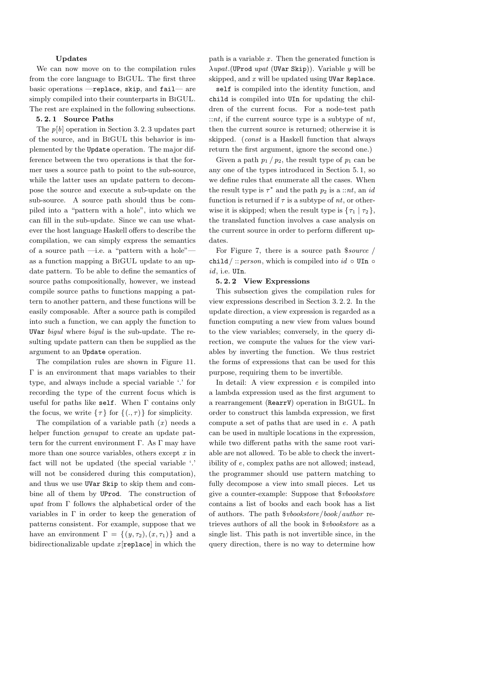#### **Updates**

We can now move on to the compilation rules from the core language to BiGUL. The first three basic operations —replace, skip, and fail— are simply compiled into their counterparts in BiGUL. The rest are explained in the following subsections.

## **5. 2. 1 Source Paths**

The *p*[*b*] operation in Section 3. 2. 3 updates part of the source, and in BiGUL this behavior is implemented by the Update operation. The major difference between the two operations is that the former uses a source path to point to the sub-source, while the latter uses an update pattern to decompose the source and execute a sub-update on the sub-source. A source path should thus be compiled into a "pattern with a hole", into which we can fill in the sub-update. Since we can use whatever the host language Haskell offers to describe the compilation, we can simply express the semantics of a source path —i.e. a "pattern with a hole" as a function mapping a BiGUL update to an update pattern. To be able to define the semantics of source paths compositionally, however, we instead compile source paths to functions mapping a pattern to another pattern, and these functions will be easily composable. After a source path is compiled into such a function, we can apply the function to UVar *bigul* where *bigul* is the sub-update. The resulting update pattern can then be supplied as the argument to an Update operation.

The compilation rules are shown in Figure 11. Γ is an environment that maps variables to their type, and always include a special variable '*.*' for recording the type of the current focus which is useful for paths like self. When Γ contains only the focus, we write  $\{\tau\}$  for  $\{(.,\tau)\}$  for simplicity.

The compilation of a variable path  $(x)$  needs a helper function *genupat* to create an update pattern for the current environment Γ. As Γ may have more than one source variables, others except *x* in fact will not be updated (the special variable '*.*' will not be considered during this computation), and thus we use UVar Skip to skip them and combine all of them by UProd. The construction of *upat* from Γ follows the alphabetical order of the variables in  $\Gamma$  in order to keep the generation of patterns consistent. For example, suppose that we have an environment  $\Gamma = \{(y, \tau_2), (x, \tau_1)\}\$ and a bidirectionalizable update *x* [replace] in which the path is a variable *x* . Then the generated function is *λupat.*(UProd *upat* (UVar Skip)). Variable *y* will be skipped, and *x* will be updated using UVar Replace.

self is compiled into the identity function, and child is compiled into UIn for updating the children of the current focus. For a node-test path ::*nt*, if the current source type is a subtype of *nt*, then the current source is returned; otherwise it is skipped. (*const* is a Haskell function that always return the first argument, ignore the second one.)

Given a path  $p_1 / p_2$ , the result type of  $p_1$  can be any one of the types introduced in Section 5. 1, so we define rules that enumerate all the cases. When the result type is  $\tau^*$  and the path  $p_2$  is a ::*nt*, an *id* function is returned if  $\tau$  is a subtype of  $nt$ , or otherwise it is skipped; when the result type is  $\{\tau_1 \mid \tau_2\}$ , the translated function involves a case analysis on the current source in order to perform different updates.

For Figure 7, there is a source path \$*source /* child*/* ::*person*, which is compiled into *id ◦* UIn *◦ id*, i.e. UIn.

## **5. 2. 2 View Expressions**

This subsection gives the compilation rules for view expressions described in Section 3. 2. 2. In the update direction, a view expression is regarded as a function computing a new view from values bound to the view variables; conversely, in the query direction, we compute the values for the view variables by inverting the function. We thus restrict the forms of expressions that can be used for this purpose, requiring them to be invertible.

In detail: A view expression *e* is compiled into a lambda expression used as the first argument to a rearrangement (RearrV) operation in BiGUL. In order to construct this lambda expression, we first compute a set of paths that are used in *e*. A path can be used in multiple locations in the expression, while two different paths with the same root variable are not allowed. To be able to check the invertibility of *e*, complex paths are not allowed; instead, the programmer should use pattern matching to fully decompose a view into small pieces. Let us give a counter-example: Suppose that \$*vbookstore* contains a list of books and each book has a list of authors. The path \$*vbookstore/book/author* retrieves authors of all the book in \$*vbookstore* as a single list. This path is not invertible since, in the query direction, there is no way to determine how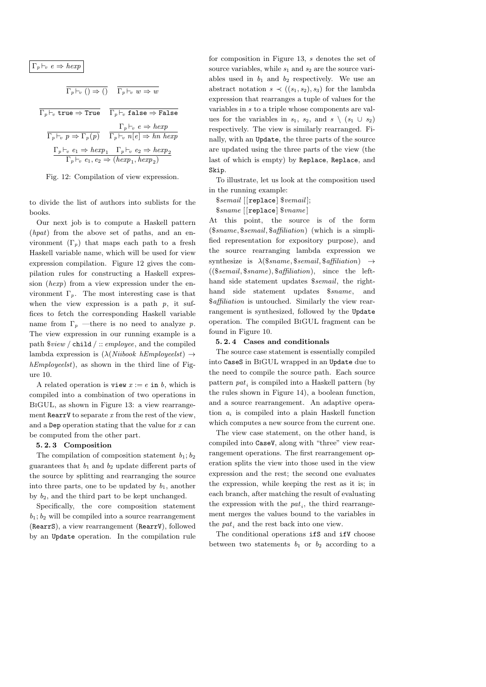$\Gamma_p \vdash_v e \Rightarrow \text{hexp}$ 

$$
\Gamma_p \vdash_v () \Rightarrow () \quad \overline{\Gamma_p \vdash_v w \Rightarrow w}
$$

$$
\Gamma_p \vdash_v \text{ true } \Rightarrow \text{ True} \qquad \Gamma_p \vdash_v \text{ false } \Rightarrow \text{False}
$$
\n
$$
\frac{\Gamma_p \vdash_v e \Rightarrow \text{ hexp}}{\Gamma_p \vdash_v p \Rightarrow \Gamma_p(p)} \qquad \frac{\Gamma_p \vdash_v e \Rightarrow \text{ hexp}}{\Gamma_p \vdash_v n[e] \Rightarrow \text{ hn } \text{ hexp}}
$$
\n
$$
\frac{\Gamma_p \vdash_v e_1 \Rightarrow \text{ hexp}_1 \quad \Gamma_p \vdash_v e_2 \Rightarrow \text{ hexp}_2}{\Gamma_p \vdash_v e_1, e_2 \Rightarrow (\text{ hexp}_1, \text{ hexp}_2)}
$$

Fig. 12: Compilation of view expression.

to divide the list of authors into sublists for the books.

Our next job is to compute a Haskell pattern (*hpat*) from the above set of paths, and an environment  $(\Gamma_p)$  that maps each path to a fresh Haskell variable name, which will be used for view expression compilation. Figure 12 gives the compilation rules for constructing a Haskell expression (*hexp*) from a view expression under the environment  $\Gamma_p$ . The most interesting case is that when the view expression is a path  $p$ , it suffices to fetch the corresponding Haskell variable name from  $\Gamma_p$  —there is no need to analyze p. The view expression in our running example is a path \$*view /* child */* :: *employee*, and the compiled lambda expression is (*λ*(*Niibook hEmployeelst*) *→ hEmployeelst*), as shown in the third line of Figure 10.

A related operation is view  $x := e$  in *b*, which is compiled into a combination of two operations in BiGUL, as shown in Figure 13: a view rearrangement RearrV to separate *x* from the rest of the view, and a Dep operation stating that the value for *x* can be computed from the other part.

#### **5. 2. 3 Composition**

The compilation of composition statement  $b_1$ ;  $b_2$ guarantees that  $b_1$  and  $b_2$  update different parts of the source by splitting and rearranging the source into three parts, one to be updated by  $b_1$ , another by *b*2, and the third part to be kept unchanged.

Specifically, the core composition statement  $b_1$ ;  $b_2$  will be compiled into a source rearrangement (RearrS), a view rearrangement (RearrV), followed by an Update operation. In the compilation rule for composition in Figure 13, *s* denotes the set of source variables, while  $s_1$  and  $s_2$  are the source variables used in  $b_1$  and  $b_2$  respectively. We use an abstract notation  $s \prec ((s_1, s_2), s_3)$  for the lambda expression that rearranges a tuple of values for the variables in *s* to a triple whose components are values for the variables in  $s_1$ ,  $s_2$ , and  $s \setminus (s_1 \cup s_2)$ respectively. The view is similarly rearranged. Finally, with an Update, the three parts of the source are updated using the three parts of the view (the last of which is empty) by Replace, Replace, and Skip.

To illustrate, let us look at the composition used in the running example:

\$*semail* [[replace] \$*vemail* ];

\$*sname* [[replace] \$*vname* ]

At this point, the source is of the form (\$*sname,* \$*semail,* \$*affiliation*) (which is a simplified representation for expository purpose), and the source rearranging lambda expression we synthesize is *λ*(\$*sname,* \$*semail,* \$*affiliation*) *→* ((\$*semail,* \$*sname*)*,* \$*affiliation*), since the lefthand side statement updates \$*semail*, the righthand side statement updates \$*sname*, and \$*affiliation* is untouched. Similarly the view rearrangement is synthesized, followed by the Update operation. The compiled BiGUL fragment can be found in Figure 10.

#### **5. 2. 4 Cases and conditionals**

The source case statement is essentially compiled into CaseS in BiGUL wrapped in an Update due to the need to compile the source path. Each source pattern *pat<sup>i</sup>* is compiled into a Haskell pattern (by the rules shown in Figure 14), a boolean function, and a source rearrangement. An adaptive operation *a<sup>i</sup>* is compiled into a plain Haskell function which computes a new source from the current one.

The view case statement, on the other hand, is compiled into CaseV, along with "three" view rearrangement operations. The first rearrangement operation splits the view into those used in the view expression and the rest; the second one evaluates the expression, while keeping the rest as it is; in each branch, after matching the result of evaluating the expression with the  $pat<sub>i</sub>$ , the third rearrangement merges the values bound to the variables in the *pat<sup>i</sup>* and the rest back into one view.

The conditional operations ifS and ifV choose between two statements  $b_1$  or  $b_2$  according to a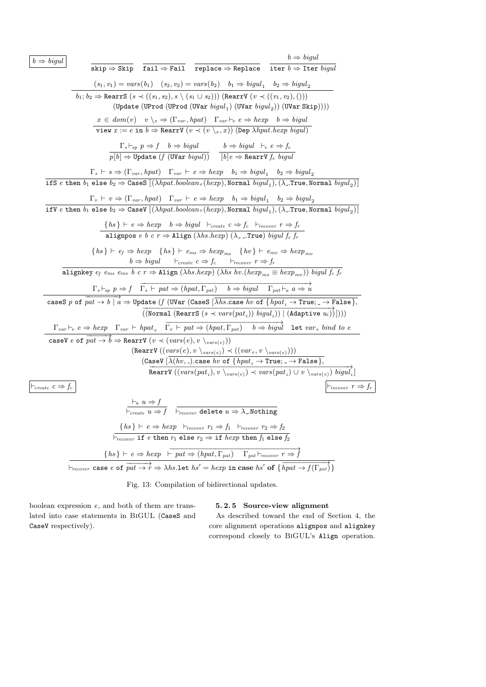| $b \Rightarrow bigul$                                                                                                                                                                                                                                                                                       | $b \Rightarrow bigul$                |
|-------------------------------------------------------------------------------------------------------------------------------------------------------------------------------------------------------------------------------------------------------------------------------------------------------------|--------------------------------------|
| $\overline{\text{skip}} \Rightarrow$ Skip fail $\Rightarrow$ Fail replace $\Rightarrow$ Replace iter $b \Rightarrow$ Iter <i>bigul</i>                                                                                                                                                                      |                                      |
| $(s_1, v_1) = vars(b_1)$ $(s_2, v_2) = vars(b_2)$ $b_1 \Rightarrow bigul_1$ $b_2 \Rightarrow bigul_2$                                                                                                                                                                                                       |                                      |
| $b_1; b_2 \Rightarrow$ RearrS $(s \prec ((s_1, s_2), s \setminus (s_1 \cup s_2)))$ (RearrV $(v \prec ((v_1, v_2),)))$ )<br>(Update (UProd (UProd (UVar $bigul_1$ ) (UVar $bigul_2$ )) (UVar Skip))))                                                                                                        |                                      |
| $x \in dom(v)$ $v \setminus_x \Rightarrow (\Gamma_{var}, hpat)$ $\Gamma_{var} \vdash_v e \Rightarrow hexp \quad b \Rightarrow bigul$                                                                                                                                                                        |                                      |
| view $x := e$ in $b \Rightarrow$ RearrV $(v \prec (v \setminus x, x))$ (Dep $\lambda hpat. hexp bigul)$                                                                                                                                                                                                     |                                      |
| $\frac{\Gamma_s \vdash_{sp} p \Rightarrow f \quad b \Rightarrow bigul}{p[b] \Rightarrow \text{Update}(f (\text{UVar } bigul))}$ $\frac{b \Rightarrow bigul \quad \vdash_v e \Rightarrow f_e}{[b]e \Rightarrow \text{RearrV } f_e \quad biqul}$                                                              |                                      |
| $\Gamma_s \vdash s \Rightarrow (\Gamma_{var}, hpat) \quad \Gamma_{var} \vdash e \Rightarrow hexp \quad b_1 \Rightarrow bigul_1 \quad b_2 \Rightarrow bigul_2$                                                                                                                                               |                                      |
| if S e then $b_1$ else $b_2 \Rightarrow$ CaseS $[(\lambda hpat.boolean_{\tau}(hexp), \text{Normal } bigul_1), (\lambda_{\text{-}}$ . True, Normal $bigul_2)]$                                                                                                                                               |                                      |
|                                                                                                                                                                                                                                                                                                             |                                      |
| $\Gamma_v \vdash v \Rightarrow (\Gamma_{var}, hpat)$ $\Gamma_{var} \vdash e \Rightarrow hexp \quad b_1 \Rightarrow bigul_1 \quad b_2 \Rightarrow bigul_2$<br>If V e then $b_1$ else $b_2 \Rightarrow$ CaseV $[(\lambda hpat.boolean_{\tau}(hexp),$ Normal $bigul_1), (\lambda_{-}$ True, Normal $bigul_2)]$ |                                      |
|                                                                                                                                                                                                                                                                                                             |                                      |
| { $hs$ } $\vdash e \Rightarrow hexp \quad b \Rightarrow bigul$ $\vdash_{create} c \Rightarrow f_c \vdash_{recover} r \Rightarrow f_r$<br>alignpos $e \; b \; c \; r \Rightarrow \text{align} (\lambda h s.hexp) (\lambda \text{---True}) \; bigul \; f_c \; f_r$                                            |                                      |
|                                                                                                                                                                                                                                                                                                             |                                      |
| $\{hs\} \vdash e_f \Rightarrow hexp \{hs\} \vdash e_{ms} \Rightarrow hexp_{ms} \{hv\} \vdash e_{mv} \Rightarrow hexp_{mv}$<br>$b \Rightarrow bigul$ $\vdash_{create} c \Rightarrow f_c$ $\vdash_{recover} r \Rightarrow f_r$                                                                                |                                      |
| alignkey $e_f$ $e_{ms}$ $e_{mv}$ $b$ $c$ $r \Rightarrow$ Align ( $\lambda hs. hexp$ ) ( $\lambda hs$ $h v. (hexp_{ms} \equiv hexp_{mv}))$ ) bigul $f_c$ $f_r$                                                                                                                                               |                                      |
| $\Gamma_s \vdash_{sp} p \Rightarrow f \quad \overrightarrow{\Gamma_s \vdash pat} \Rightarrow (hpat, \Gamma_{pat}) \quad b \Rightarrow bigul \quad \Gamma_{pat} \vdash_u a \Rightarrow u$                                                                                                                    |                                      |
| caseS p of $\overrightarrow{pat \rightarrow b \mid a}$ $\Rightarrow$ Update (f (UVar (CaseS $[\overline{\lambda}$ hs.case hv of $\{$ hpat <sub>i</sub> $\rightarrow$ True; $\rightarrow$ False $\}$ ,                                                                                                       |                                      |
| $((\texttt{Normal}~(\texttt{RearrS}~(s \prec vars(path_i))~big~[~(\texttt{Adaptive}~u_i)))))$                                                                                                                                                                                                               |                                      |
| $\Gamma_{var} \vdash_v e \Rightarrow hexp \quad \Gamma_{var} \vdash hpat_v \quad \overline{\Gamma_v \vdash pat \Rightarrow (hpat, \Gamma_{pat}) \quad b \Rightarrow bigul}$ let $var_e \; bind \; to \; e$                                                                                                  |                                      |
| caseV e of $\overrightarrow{pat \rightarrow b} \Rightarrow$ RearrV $(v \prec (vars(e), v \setminus_{vars(e)}))$                                                                                                                                                                                             |                                      |
| (RearrV $((vars(e), v \setminus_{vars(e)}) \prec ((var_e, v \setminus_{vars(e)})))$                                                                                                                                                                                                                         |                                      |
| $\label{eq:caseV} \text{(CaseV [}\lambda(hv,\texttt{.}).\texttt{case}\; hv\;\texttt{of}\;\overline{\{hpat_i \rightarrow \texttt{True}; \texttt{.} \rightarrow \texttt{False}\}},$                                                                                                                           |                                      |
| <b>Rearry</b> $((vars(pat_i), v \setminus_{vars(e)}) \prec vars(pat_i) \cup v \setminus_{vars(e)}) bigul_i'$                                                                                                                                                                                                |                                      |
| $\vdash_{create} c \Rightarrow f_c$                                                                                                                                                                                                                                                                         | $\vdash_{recover} r \Rightarrow f_n$ |
|                                                                                                                                                                                                                                                                                                             |                                      |
| $\begin{array}{ll} \vdash_{u} u \Rightarrow f & \\ \vdash_{create} u \Rightarrow f & \vdash_{recover} \texttt{delete } u \Rightarrow \lambda \texttt{Nothing} \end{array}$                                                                                                                                  |                                      |
| $\{hs\} \vdash e \Rightarrow hexp \vdash_{recover} r_1 \Rightarrow f_1 \vdash_{recover} r_2 \Rightarrow f_2$                                                                                                                                                                                                |                                      |
| $\vdash_{recover}$ if e then $r_1$ else $r_2 \Rightarrow$ if $hexp$ then $f_1$ else $f_2$                                                                                                                                                                                                                   |                                      |
| $\{hs\} \vdash e \Rightarrow hexp \vdash pat \Rightarrow (hpat, \Gamma_{pat}) \quad \Gamma_{pat} \vdash_{recover} r \Rightarrow f$                                                                                                                                                                          |                                      |
| $\vdash_{recover}$ case e of $\overrightarrow{pat \rightarrow r} \Rightarrow \lambda hs.\text{let } hs' = hexp$ in case $hs'$ of $\{\overrightarrow{hpat \rightarrow f(\Gamma_{pat})}\}$                                                                                                                    |                                      |

Fig. 13: Compilation of bidirectional updates.

boolean expression *e*, and both of them are translated into case statements in BiGUL (CaseS and CaseV respectively).

# **5. 2. 5 Source-view alignment**

As described toward the end of Section 4, the core alignment operations alignpos and alignkey correspond closely to BiGUL's Align operation.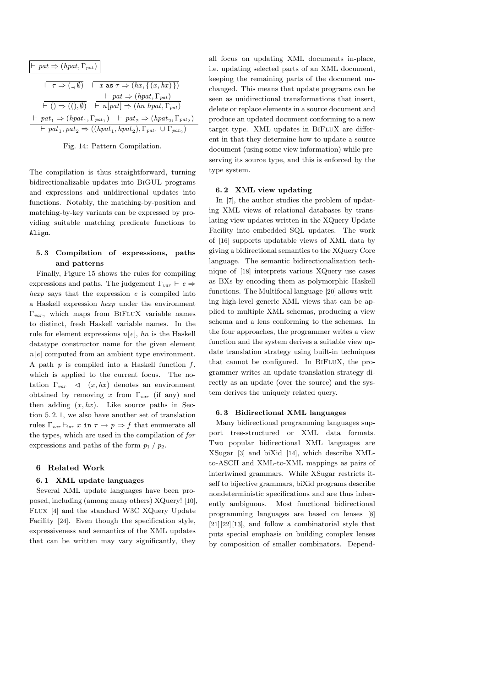$$
\begin{array}{l}\n\vdash pat \Rightarrow (hpat, \Gamma_{pat}) \\
\hline\n\vdash \tau \Rightarrow (., \emptyset) \quad \vdash x \text{ as } \tau \Rightarrow (hx, \{(x, hx)\}) \\
\hline\n\vdash (x, f(x, hx)) \quad \vdash \tau \Rightarrow (hpat, \Gamma_{pat}) \\
\hline\n\vdash (x, f(x, hx)) \quad \vdash \tau \Rightarrow (hpat, \Gamma_{pat}) \quad \vdash \tau \Rightarrow (hpat_1, \Gamma_{pat_1}) \quad \vdash \rho at_2 \Rightarrow (hpat_2, \Gamma_{pat_2}) \\
\hline\n\vdash pat_1, pat_2 \Rightarrow ((hpat_1, hpat_2), \Gamma_{pat_1} \cup \Gamma_{pat_2})\n\end{array}
$$

Fig. 14: Pattern Compilation.

The compilation is thus straightforward, turning bidirectionalizable updates into BiGUL programs and expressions and unidirectional updates into functions. Notably, the matching-by-position and matching-by-key variants can be expressed by providing suitable matching predicate functions to Align.

## **5. 3 Compilation of expressions, paths and patterns**

Finally, Figure 15 shows the rules for compiling expressions and paths. The judgement  $\Gamma_{var} \vdash e \Rightarrow$ *hexp* says that the expression *e* is compiled into a Haskell expression *hexp* under the environment  $\Gamma_{var}$ , which maps from BIFLUX variable names to distinct, fresh Haskell variable names. In the rule for element expressions *n*[*e*], *hn* is the Haskell datatype constructor name for the given element *n*[*e*] computed from an ambient type environment. A path  $p$  is compiled into a Haskell function  $f$ , which is applied to the current focus. The notation  $\Gamma_{var} \leq (x, hx)$  denotes an environment obtained by removing *x* from Γ*var* (if any) and then adding  $(x, hx)$ . Like source paths in Section 5. 2. 1, we also have another set of translation rules  $\Gamma_{var} \vdash_{for} x \text{ in } \tau \to p \Rightarrow f \text{ that enumerate all}$ the types, which are used in the compilation of *for* expressions and paths of the form  $p_1 / p_2$ .

## **6 Related Work**

#### **6. 1 XML update languages**

Several XML update languages have been proposed, including (among many others) XQuery! [10], Flux [4] and the standard W3C XQuery Update Facility [24]. Even though the specification style, expressiveness and semantics of the XML updates that can be written may vary significantly, they

all focus on updating XML documents in-place, i.e. updating selected parts of an XML document, keeping the remaining parts of the document unchanged. This means that update programs can be seen as unidirectional transformations that insert, delete or replace elements in a source document and produce an updated document conforming to a new target type. XML updates in BiFluX are different in that they determine how to update a source document (using some view information) while preserving its source type, and this is enforced by the type system.

#### **6. 2 XML view updating**

In [7], the author studies the problem of updating XML views of relational databases by translating view updates written in the XQuery Update Facility into embedded SQL updates. The work of [16] supports updatable views of XML data by giving a bidirectional semantics to the XQuery Core language. The semantic bidirectionalization technique of [18] interprets various XQuery use cases as BXs by encoding them as polymorphic Haskell functions. The Multifocal language [20] allows writing high-level generic XML views that can be applied to multiple XML schemas, producing a view schema and a lens conforming to the schemas. In the four approaches, the programmer writes a view function and the system derives a suitable view update translation strategy using built-in techniques that cannot be configured. In BiFluX, the programmer writes an update translation strategy directly as an update (over the source) and the system derives the uniquely related query.

#### **6. 3 Bidirectional XML languages**

Many bidirectional programming languages support tree-structured or XML data formats. Two popular bidirectional XML languages are XSugar [3] and biXid [14], which describe XMLto-ASCII and XML-to-XML mappings as pairs of intertwined grammars. While XSugar restricts itself to bijective grammars, biXid programs describe nondeterministic specifications and are thus inherently ambiguous. Most functional bidirectional programming languages are based on lenses [8] [21][22][13], and follow a combinatorial style that puts special emphasis on building complex lenses by composition of smaller combinators. Depend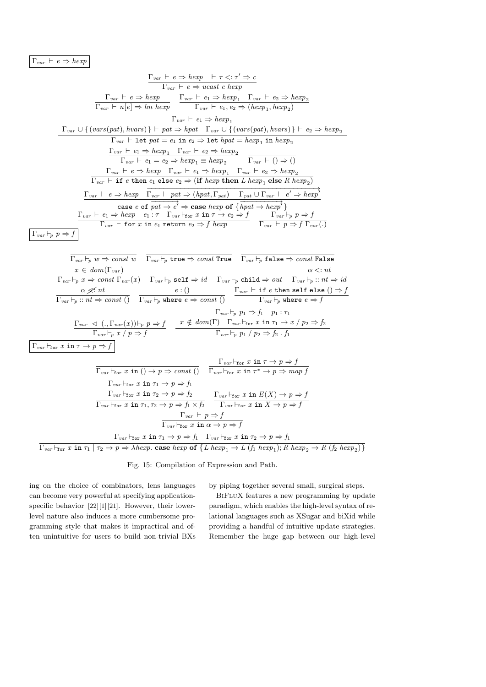$\Gamma_{var} \vdash e \Rightarrow \text{hexp}$ 

$$
\frac{\Gamma_{var} \vdash e \Rightarrow hexp \quad \vdash \tau <: \tau' \Rightarrow c}{\Gamma_{var} \vdash e \Rightarrow ucast \ c \ hexp}
$$
\n
$$
\frac{\Gamma_{var} \vdash e \Rightarrow hexp \quad \Gamma_{var} \vdash e_1 \Rightarrow hexp_1 \quad \Gamma_{var} \vdash e_2 \Rightarrow hexp_2}{\Gamma_{var} \vdash h[e] \Rightarrow h n \ hexp} \quad \frac{\Gamma_{var} \vdash e_1 \Rightarrow hexp_1 \quad \Gamma_{var} \vdash e_2 \Rightarrow hexp_2}{\Gamma_{var} \vdash e_1 \Rightarrow hexp_1}
$$
\n
$$
\frac{\Gamma_{var} \vdash e_1 \Rightarrow hexp_1}{\Gamma_{var} \vdash e_1 \Rightarrow hexp_1}
$$
\n
$$
\frac{\Gamma_{var} \vdash e_1 \Rightarrow hexp_1 \quad \Gamma_{var} \vdash e_1 \Rightarrow hexp_1}{\Gamma_{var} \vdash e_1 \Rightarrow hexp_1 \quad \Gamma_{var} \vdash e_2 \Rightarrow hexp_2}
$$
\n
$$
\frac{\Gamma_{var} \vdash e_1 \Rightarrow hexp_1 \quad \Gamma_{var} \vdash e_2 \Rightarrow hexp_2}{\Gamma_{var} \vdash e_1 \Rightarrow hexp_1 \quad \Gamma_{var} \vdash e_2 \Rightarrow hexp_2}
$$
\n
$$
\frac{\Gamma_{var} \vdash e \Rightarrow hexp \quad \Gamma_{var} \vdash e_1 \Rightarrow hexp_1 \quad \Gamma_{var} \vdash e_2 \Rightarrow hexp_2}{\Gamma_{var} \vdash e \Rightarrow hexp \quad \Gamma_{var} \vdash e_1 \Rightarrow hexp_1 \quad \Gamma_{var} \vdash e_2 \Rightarrow hexp_2}
$$
\n
$$
\frac{\Gamma_{var} \vdash e \Rightarrow hexp \quad \Gamma_{var} \vdash e_1 \Rightarrow hexp \quad \Gamma_{var} \vdash e_1 \Rightarrow hexp \quad \Gamma_{var} \vdash e_2 \Rightarrow hexp_2}{\Gamma_{var} \vdash e \Rightarrow hexp \quad \Gamma_{var} \vdash e_2 \Rightarrow g \Rightarrow hexp \quad \Gamma_{var} \vdash e_2 \Rightarrow hexp \quad \Gamma_{var} \vdash e_2 \Rightarrow hexp \quad \Gamma_{var} \vdash e_2 \Rightarrow hexp \quad \Gamma_{var} \vdash e_2 \Rightarrow hexp \quad \Gamma_{var} \vdash e_2 \Rightarrow hexp \quad \Gamma_{var} \vdash e_2 \Rightarrow hexp \quad \Gamma_{var} \vdash e_2 \Rightarrow hexp \quad \Gamma_{var} \vdash e
$$

$$
\Gamma_{var} \vdash_{p} :: nt \Rightarrow const \; () \qquad \Gamma_{var} \vdash_{p} \text{ where } e \Rightarrow const \; () \qquad \Gamma_{var} \vdash_{p} \text{ where } e \Rightarrow f
$$
\n
$$
\Gamma_{var} \vdash_{p} p_{1} \Rightarrow f_{1} \qquad p_{1} : \tau_{1}
$$
\n
$$
\frac{\Gamma_{var} \prec \langle .., \Gamma_{var}(x) \rangle \vdash_{p} p \Rightarrow f}{\Gamma_{var} \vdash_{p} x / p \Rightarrow f} \qquad x \notin dom(\Gamma) \quad \Gamma_{var} \vdash_{\Gamma \sigma} x \text{ in } \tau_{1} \to x / p_{2} \Rightarrow f_{2}
$$
\n
$$
\Gamma_{var} \vdash_{\text{for}} x \text{ in } \tau \to p \Rightarrow f
$$
\n
$$
\frac{\Gamma_{var} \vdash_{\text{for}} x \text{ in } \tau \to p \Rightarrow f}{\Gamma_{var} \vdash_{\text{for}} x \text{ in } \tau_{1} \to p \Rightarrow const \; ()} \qquad \frac{\Gamma_{var} \vdash_{\text{for}} x \text{ in } \tau \to p \Rightarrow f}{\Gamma_{var} \vdash_{\text{for}} x \text{ in } \tau_{1} \to p \Rightarrow f_{1}}
$$
\n
$$
\frac{\Gamma_{var} \vdash_{\text{for}} x \text{ in } \tau_{1} \to p \Rightarrow f_{1}}{\Gamma_{var} \vdash_{\text{for}} x \text{ in } \tau_{1} \to p \Rightarrow f_{2}} \qquad \frac{\Gamma_{var} \vdash_{\text{for}} x \text{ in } E(X) \to p \Rightarrow f}{\Gamma_{var} \vdash_{\text{for}} x \text{ in } \tau_{1} \to p \Rightarrow f_{2}} \qquad \frac{\Gamma_{var} \vdash_{\text{for}} x \text{ in } E(X) \to p \Rightarrow f}{\Gamma_{var} \vdash_{\text{for}} x \text{ in } \tau_{1} \to p \Rightarrow f}
$$
\n
$$
\frac{\Gamma_{var} \vdash_{\text{for}} x \text{ in } \tau_{1} \to p \Rightarrow f}{\Gamma_{var} \vdash_{\text{for}} x \text{ in } \tau_{1} \to p \Rightarrow f}
$$
\n
$$
\frac{\Gamma_{var} \vdash_{\text{for}} x \text{ in } \tau_{1} \to p \Rightarrow f}{\Gamma_{var} \vdash_{\text{for}} x \text{ in } \tau_{1} \to p \Rightarrow
$$

 $\Gamma_{var}\vdash_{\texttt{for}} x$  in  $\tau_1\mid \tau_2\to p\Rightarrow \lambda hexp.$  case  $hexp$  of  $\{L\;hexp_1\to L\;(f_1\;hexp_1); R\;hexp_2\to R\;(f_2\;hexp_2)\}$ 

Fig. 15: Compilation of Expression and Path.

by piping together several small, surgical steps.

ing on the choice of combinators, lens languages can become very powerful at specifying applicationspecific behavior  $[22][1][21]$ . However, their lowerlevel nature also induces a more cumbersome programming style that makes it impractical and often unintuitive for users to build non-trivial BXs

BiFluX features a new programming by update paradigm, which enables the high-level syntax of relational languages such as XSugar and biXid while providing a handful of intuitive update strategies. Remember the huge gap between our high-level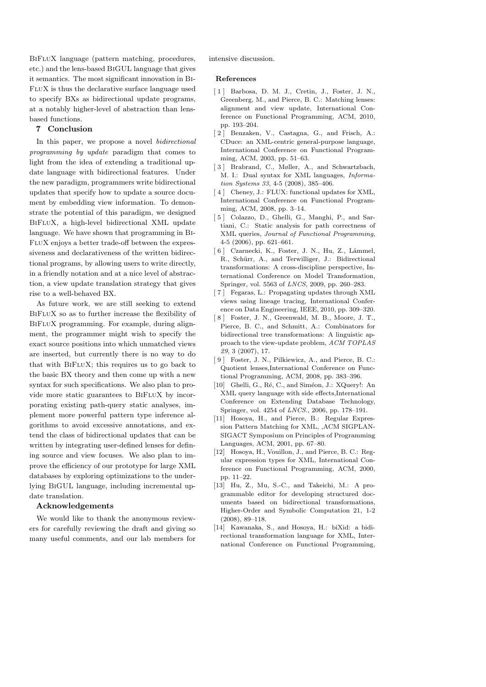BiFluX language (pattern matching, procedures, etc.) and the lens-based BiGUL language that gives it semantics. The most significant innovation in Bi-FluX is thus the declarative surface language used to specify BXs as bidirectional update programs, at a notably higher-level of abstraction than lensbased functions.

# **7 Conclusion**

In this paper, we propose a novel *bidirectional programming by update* paradigm that comes to light from the idea of extending a traditional update language with bidirectional features. Under the new paradigm, programmers write bidirectional updates that specify how to update a source document by embedding view information. To demonstrate the potential of this paradigm, we designed BiFluX, a high-level bidirectional XML update language. We have shown that programming in Bi-FluX enjoys a better trade-off between the expressiveness and declarativeness of the written bidirectional programs, by allowing users to write directly, in a friendly notation and at a nice level of abstraction, a view update translation strategy that gives rise to a well-behaved BX.

As future work, we are still seeking to extend BiFluX so as to further increase the flexibility of BiFluX programming. For example, during alignment, the programmer might wish to specify the exact source positions into which unmatched views are inserted, but currently there is no way to do that with BiFluX; this requires us to go back to the basic BX theory and then come up with a new syntax for such specifications. We also plan to provide more static guarantees to BiFluX by incorporating existing path-query static analyses, implement more powerful pattern type inference algorithms to avoid excessive annotations, and extend the class of bidirectional updates that can be written by integrating user-defined lenses for defining source and view focuses. We also plan to improve the efficiency of our prototype for large XML databases by exploring optimizations to the underlying BiGUL language, including incremental update translation.

#### **Acknowledgements**

We would like to thank the anonymous reviewers for carefully reviewing the draft and giving so many useful comments, and our lab members for intensive discussion.

#### **References**

- [ 1 ] Barbosa, D. M. J., Cretin, J., Foster, J. N., Greenberg, M., and Pierce, B. C.: Matching lenses: alignment and view update, International Conference on Functional Programming, ACM, 2010, pp. 193–204.
- [ 2 ] Benzaken, V., Castagna, G., and Frisch, A.: CDuce: an XML-centric general-purpose language, International Conference on Functional Programming, ACM, 2003, pp. 51–63.
- [ 3 ] Brabrand, C., Møller, A., and Schwartzbach, M. I.: Dual syntax for XML languages, *Information Systems 33*, 4-5 (2008), 385–406.
- [4] Cheney, J.: FLUX: functional updates for XML, International Conference on Functional Programming, ACM, 2008, pp. 3–14.
- [ 5 ] Colazzo, D., Ghelli, G., Manghi, P., and Sartiani, C.: Static analysis for path correctness of XML queries, *Journal of Functional Programming*, 4-5 (2006), pp. 621–661.
- [ 6 ] Czarnecki, K., Foster, J. N., Hu, Z., Lämmel, R., Schürr, A., and Terwilliger, J.: Bidirectional transformations: A cross-discipline perspective, International Conference on Model Transformation, Springer, vol. 5563 of *LNCS*, 2009, pp. 260–283.
- [ 7 ] Fegaras, L.: Propagating updates through XML views using lineage tracing, International Conference on Data Engineering, IEEE, 2010, pp. 309–320.
- [ 8 ] Foster, J. N., Greenwald, M. B., Moore, J. T., Pierce, B. C., and Schmitt, A.: Combinators for bidirectional tree transformations: A linguistic approach to the view-update problem, *ACM TOPLAS 29*, 3 (2007), 17.
- [ 9 ] Foster, J. N., Pilkiewicz, A., and Pierce, B. C.: Quotient lenses,International Conference on Functional Programming, ACM, 2008, pp. 383–396.
- [10] Ghelli, G., Ré, C., and Siméon, J.: XQuery!: An XML query language with side effects,International Conference on Extending Database Technology, Springer, vol. 4254 of *LNCS*., 2006, pp. 178–191.
- [11] Hosoya, H., and Pierce, B.: Regular Expression Pattern Matching for XML, ,ACM SIGPLAN-SIGACT Symposium on Principles of Programming Languages, ACM, 2001, pp. 67–80.
- [12] Hosoya, H., Vouillon, J., and Pierce, B. C.: Regular expression types for XML, International Conference on Functional Programming, ACM, 2000, pp. 11–22.
- [13] Hu, Z., Mu, S.-C., and Takeichi, M.: A programmable editor for developing structured documents based on bidirectional transformations, Higher-Order and Symbolic Computation 21, 1-2 (2008), 89–118.
- [14] Kawanaka, S., and Hosoya, H.: biXid: a bidirectional transformation language for XML, International Conference on Functional Programming,